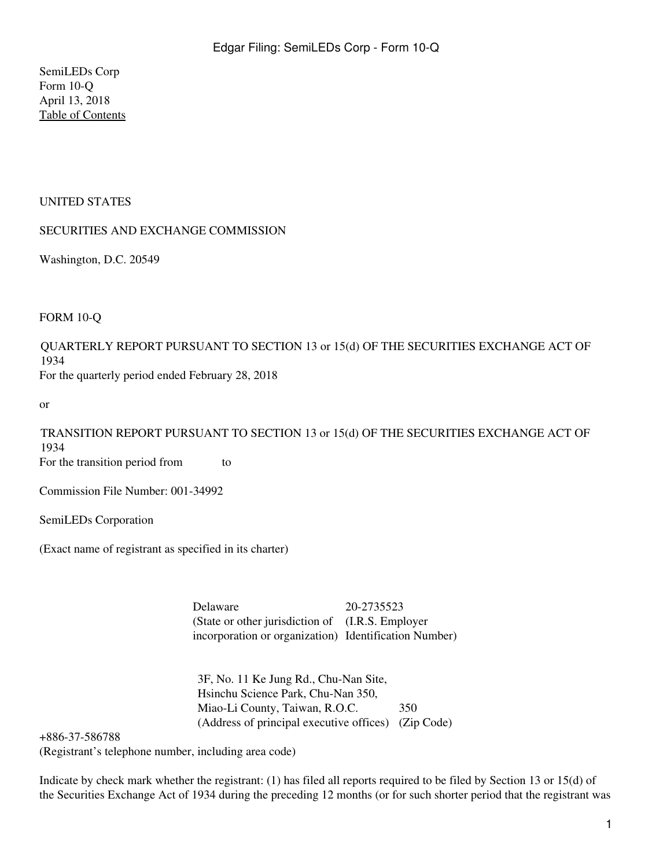SemiLEDs Corp Form 10-Q April 13, 2018 [Table of Contents](#page-2-0)

# UNITED STATES

# SECURITIES AND EXCHANGE COMMISSION

Washington, D.C. 20549

## FORM 10-Q

QUARTERLY REPORT PURSUANT TO SECTION 13 or 15(d) OF THE SECURITIES EXCHANGE ACT OF 1934

For the quarterly period ended February 28, 2018

or

TRANSITION REPORT PURSUANT TO SECTION 13 or 15(d) OF THE SECURITIES EXCHANGE ACT OF 1934 For the transition period from to

Commission File Number: 001-34992

SemiLEDs Corporation

(Exact name of registrant as specified in its charter)

Delaware 20-2735523 (State or other jurisdiction of (I.R.S. Employer incorporation or organization) Identification Number)

3F, No. 11 Ke Jung Rd., Chu-Nan Site, Hsinchu Science Park, Chu-Nan 350, Miao-Li County, Taiwan, R.O.C. 350 (Address of principal executive offices) (Zip Code)

+886-37-586788

(Registrant's telephone number, including area code)

Indicate by check mark whether the registrant: (1) has filed all reports required to be filed by Section 13 or 15(d) of the Securities Exchange Act of 1934 during the preceding 12 months (or for such shorter period that the registrant was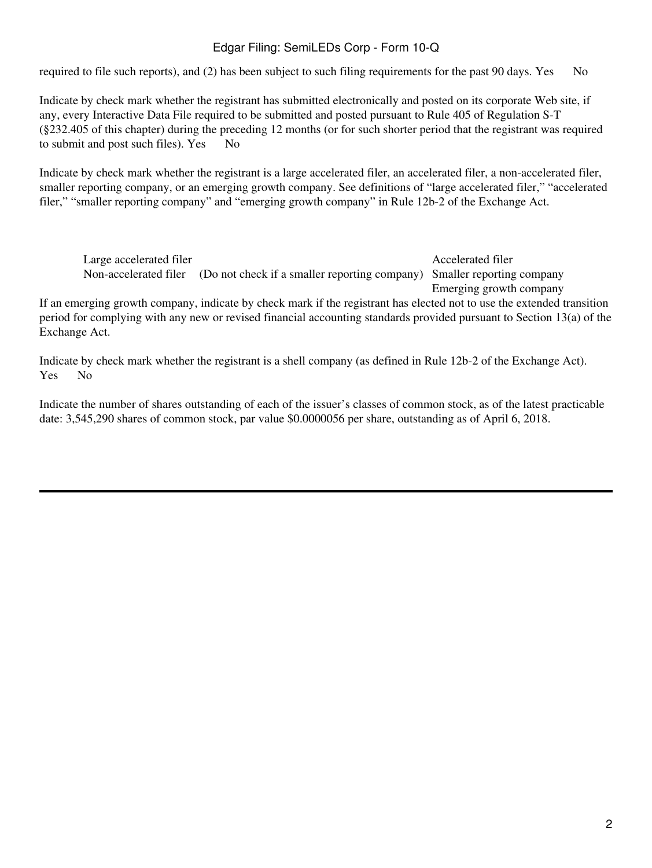required to file such reports), and  $(2)$  has been subject to such filing requirements for the past 90 days. Yes No

Indicate by check mark whether the registrant has submitted electronically and posted on its corporate Web site, if any, every Interactive Data File required to be submitted and posted pursuant to Rule 405 of Regulation S-T (§232.405 of this chapter) during the preceding 12 months (or for such shorter period that the registrant was required to submit and post such files). Yes No

Indicate by check mark whether the registrant is a large accelerated filer, an accelerated filer, a non-accelerated filer, smaller reporting company, or an emerging growth company. See definitions of "large accelerated filer," "accelerated filer," "smaller reporting company" and "emerging growth company" in Rule 12b-2 of the Exchange Act.

Large accelerated filer and the accelerated filer and the Accelerated filer and Accelerated filer Non-accelerated filer (Do not check if a smaller reporting company) Smaller reporting company

Emerging growth company

If an emerging growth company, indicate by check mark if the registrant has elected not to use the extended transition period for complying with any new or revised financial accounting standards provided pursuant to Section 13(a) of the Exchange Act.

Indicate by check mark whether the registrant is a shell company (as defined in Rule 12b-2 of the Exchange Act). Yes No

Indicate the number of shares outstanding of each of the issuer's classes of common stock, as of the latest practicable date: 3,545,290 shares of common stock, par value \$0.0000056 per share, outstanding as of April 6, 2018.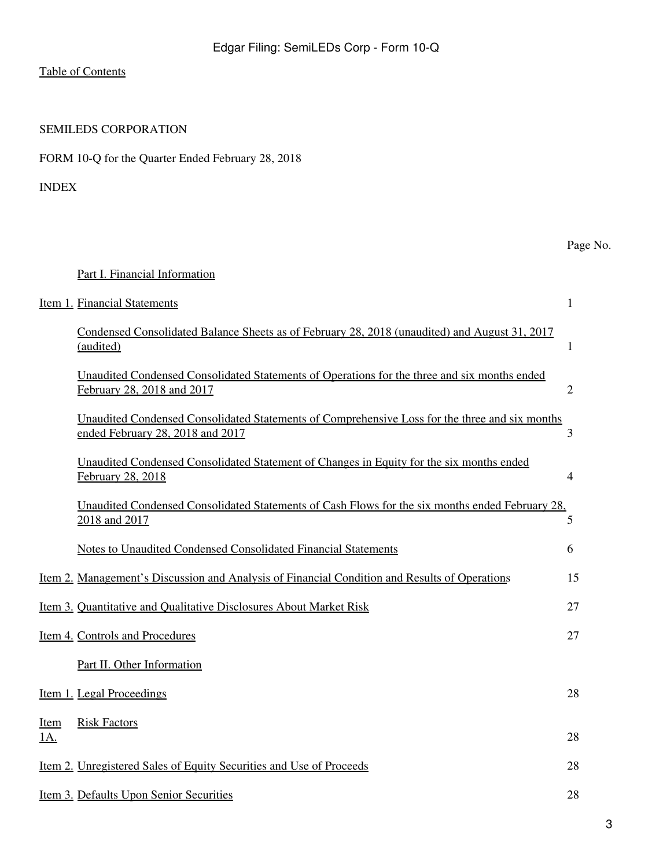# SEMILEDS CORPORATION

| FORM 10-Q for the Quarter Ended February 28, 2018 |  |  |  |  |  |  |
|---------------------------------------------------|--|--|--|--|--|--|
|---------------------------------------------------|--|--|--|--|--|--|

### <span id="page-2-0"></span>INDEX

# Page No.

# [Part I. Financial Information](#page-4-0)

| Item 1. Financial Statements                                                                                                       | 1              |
|------------------------------------------------------------------------------------------------------------------------------------|----------------|
| Condensed Consolidated Balance Sheets as of February 28, 2018 (unaudited) and August 31, 2017<br>(audited)                         | $\mathbf{1}$   |
| Unaudited Condensed Consolidated Statements of Operations for the three and six months ended<br>February 28, 2018 and 2017         | $\overline{2}$ |
| Unaudited Condensed Consolidated Statements of Comprehensive Loss for the three and six months<br>ended February 28, 2018 and 2017 | 3              |
| Unaudited Condensed Consolidated Statement of Changes in Equity for the six months ended<br>February 28, 2018                      | $\overline{4}$ |
| Unaudited Condensed Consolidated Statements of Cash Flows for the six months ended February 28,<br>2018 and 2017                   | 5              |
| <b>Notes to Unaudited Condensed Consolidated Financial Statements</b>                                                              | 6              |
| Item 2. Management's Discussion and Analysis of Financial Condition and Results of Operations                                      | 15             |
| Item 3. Quantitative and Qualitative Disclosures About Market Risk                                                                 | 27             |
| Item 4. Controls and Procedures                                                                                                    | 27             |
| Part II. Other Information                                                                                                         |                |
| <u>Item 1. Legal Proceedings</u>                                                                                                   | 28             |
| <b>Risk Factors</b><br><b>Item</b><br><u>1A.</u>                                                                                   | 28             |
| <u>Item 2. Unregistered Sales of Equity Securities and Use of Proceeds</u>                                                         | 28             |
| Item 3. Defaults Upon Senior Securities                                                                                            | 28             |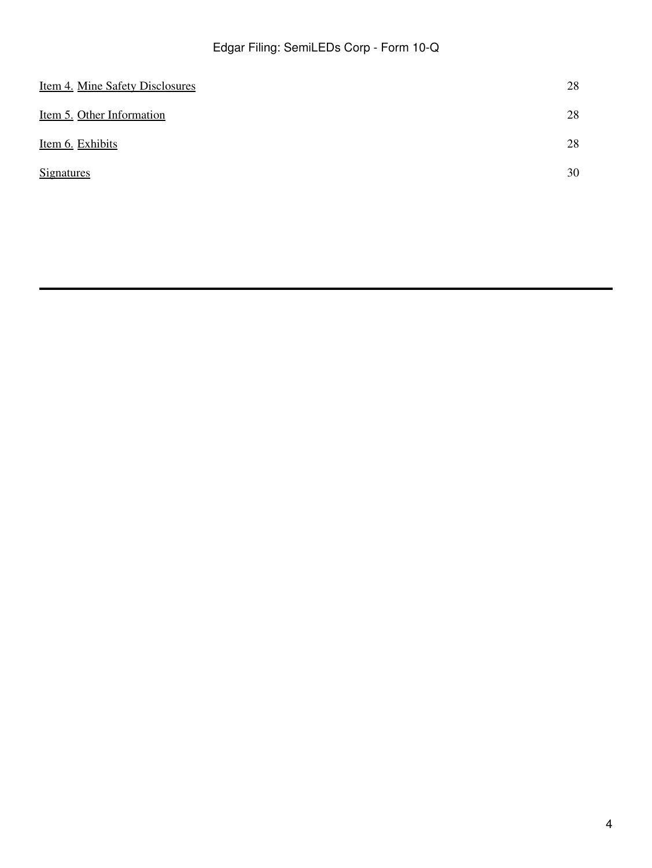| Item 4. Mine Safety Disclosures | 28 |
|---------------------------------|----|
| Item 5. Other Information       | 28 |
| Item 6. Exhibits                | 28 |
| <b>Signatures</b>               | 30 |
|                                 |    |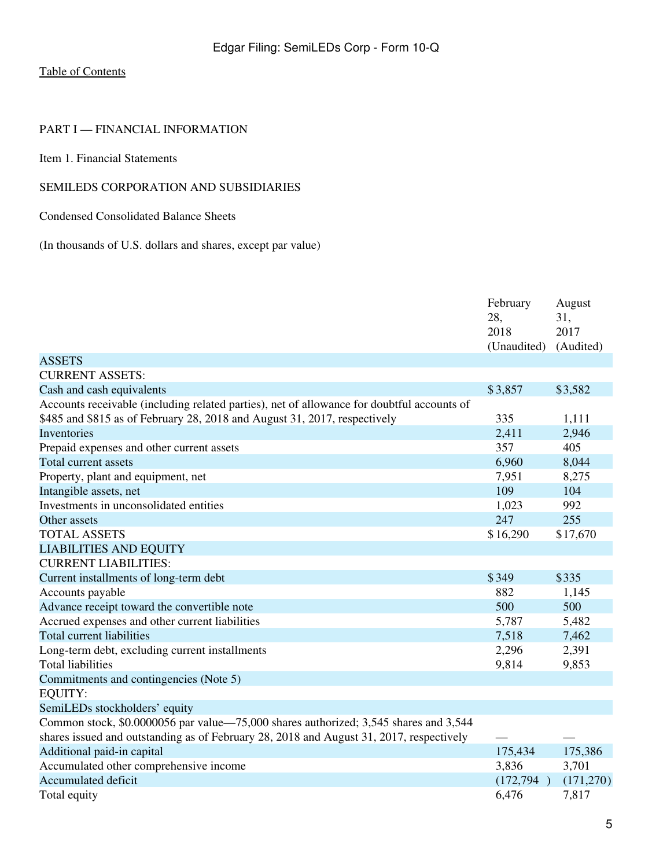# <span id="page-4-0"></span>PART I — FINANCIAL INFORMATION

<span id="page-4-1"></span>Item 1. Financial Statements

# SEMILEDS CORPORATION AND SUBSIDIARIES

<span id="page-4-2"></span>Condensed Consolidated Balance Sheets

(In thousands of U.S. dollars and shares, except par value)

|                                                                                                                                                                         | February<br>28,<br>2018<br>(Unaudited) | August<br>31,<br>2017<br>(Audited) |
|-------------------------------------------------------------------------------------------------------------------------------------------------------------------------|----------------------------------------|------------------------------------|
| <b>ASSETS</b>                                                                                                                                                           |                                        |                                    |
| <b>CURRENT ASSETS:</b>                                                                                                                                                  |                                        |                                    |
| Cash and cash equivalents                                                                                                                                               | \$3,857                                | \$3,582                            |
| Accounts receivable (including related parties), net of allowance for doubtful accounts of<br>\$485 and \$815 as of February 28, 2018 and August 31, 2017, respectively | 335                                    | 1,111                              |
| Inventories                                                                                                                                                             | 2,411                                  | 2,946                              |
| Prepaid expenses and other current assets                                                                                                                               | 357                                    | 405                                |
| Total current assets                                                                                                                                                    | 6,960                                  | 8,044                              |
| Property, plant and equipment, net                                                                                                                                      | 7,951                                  | 8,275                              |
| Intangible assets, net                                                                                                                                                  | 109                                    | 104                                |
| Investments in unconsolidated entities                                                                                                                                  | 1,023                                  | 992                                |
| Other assets                                                                                                                                                            | 247                                    | 255                                |
| <b>TOTAL ASSETS</b>                                                                                                                                                     | \$16,290                               | \$17,670                           |
| <b>LIABILITIES AND EQUITY</b>                                                                                                                                           |                                        |                                    |
| <b>CURRENT LIABILITIES:</b>                                                                                                                                             |                                        |                                    |
| Current installments of long-term debt                                                                                                                                  | \$349                                  | \$335                              |
| Accounts payable                                                                                                                                                        | 882                                    | 1,145                              |
| Advance receipt toward the convertible note                                                                                                                             | 500                                    | 500                                |
| Accrued expenses and other current liabilities                                                                                                                          | 5,787                                  | 5,482                              |
| <b>Total current liabilities</b>                                                                                                                                        | 7,518                                  | 7,462                              |
| Long-term debt, excluding current installments                                                                                                                          | 2,296                                  | 2,391                              |
| <b>Total liabilities</b>                                                                                                                                                | 9,814                                  | 9,853                              |
| Commitments and contingencies (Note 5)                                                                                                                                  |                                        |                                    |
| <b>EQUITY:</b>                                                                                                                                                          |                                        |                                    |
| SemiLEDs stockholders' equity                                                                                                                                           |                                        |                                    |
| Common stock, \$0.0000056 par value—75,000 shares authorized; 3,545 shares and 3,544                                                                                    |                                        |                                    |
| shares issued and outstanding as of February 28, 2018 and August 31, 2017, respectively                                                                                 |                                        |                                    |
| Additional paid-in capital                                                                                                                                              | 175,434                                | 175,386                            |
| Accumulated other comprehensive income                                                                                                                                  | 3,836                                  | 3,701                              |
| <b>Accumulated deficit</b>                                                                                                                                              | (172, 794)                             | (171,270)                          |
| Total equity                                                                                                                                                            | 6,476                                  | 7,817                              |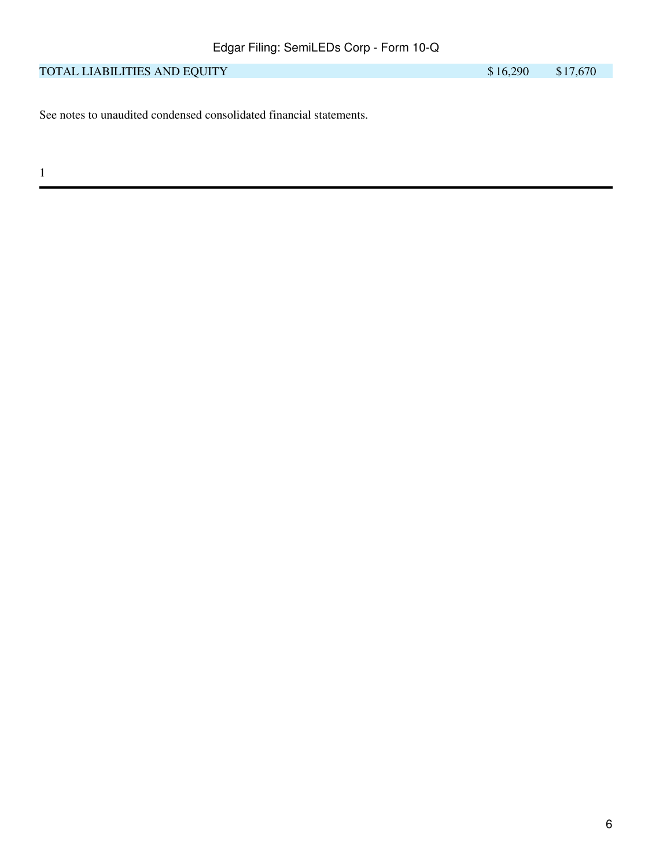| TOTAL LIABILITIES AND EOUITY | \$16,290 | \$17,670 |
|------------------------------|----------|----------|
|------------------------------|----------|----------|

See notes to unaudited condensed consolidated financial statements.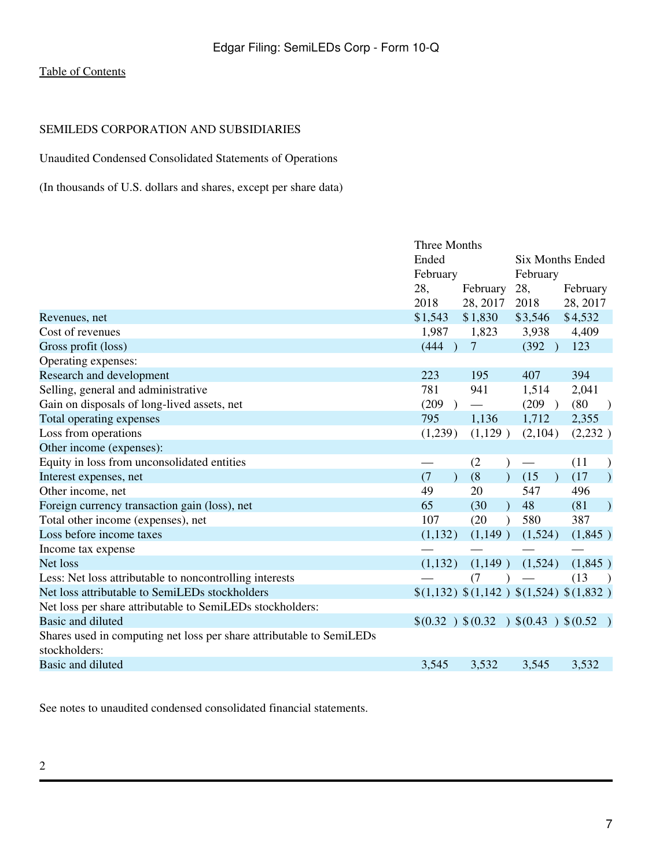# SEMILEDS CORPORATION AND SUBSIDIARIES

<span id="page-6-0"></span>Unaudited Condensed Consolidated Statements of Operations

(In thousands of U.S. dollars and shares, except per share data)

|                                                                      | <b>Three Months</b> |                       |                        |                                         |  |
|----------------------------------------------------------------------|---------------------|-----------------------|------------------------|-----------------------------------------|--|
|                                                                      | Ended               |                       |                        | <b>Six Months Ended</b>                 |  |
|                                                                      | February            |                       | February               |                                         |  |
|                                                                      | 28,                 | February              | 28,                    | February                                |  |
|                                                                      | 2018                | 28, 2017              | 2018                   | 28, 2017                                |  |
| Revenues, net                                                        | \$1,543             | \$1,830               | \$3,546                | \$4,532                                 |  |
| Cost of revenues                                                     | 1,987               | 1,823                 | 3,938                  | 4,409                                   |  |
| Gross profit (loss)                                                  | (444)               | $\overline{7}$        | (392)<br>$\rightarrow$ | 123                                     |  |
| Operating expenses:                                                  |                     |                       |                        |                                         |  |
| Research and development                                             | 223                 | 195                   | 407                    | 394                                     |  |
| Selling, general and administrative                                  | 781                 | 941                   | 1,514                  | 2,041                                   |  |
| Gain on disposals of long-lived assets, net                          | (209)               |                       | (209)<br>$\rightarrow$ | (80)<br>$\rightarrow$                   |  |
| Total operating expenses                                             | 795                 | 1,136                 | 1,712                  | 2,355                                   |  |
| Loss from operations                                                 | (1,239)             | (1,129)               | (2,104)                | (2,232)                                 |  |
| Other income (expenses):                                             |                     |                       |                        |                                         |  |
| Equity in loss from unconsolidated entities                          |                     | (2)                   |                        | (11)<br>$\lambda$                       |  |
| Interest expenses, net                                               | (7)                 | (8)<br>$\mathcal{L}$  | (15)<br>$\lambda$      | (17)<br>$\rightarrow$                   |  |
| Other income, net                                                    | 49                  | 20                    | 547                    | 496                                     |  |
| Foreign currency transaction gain (loss), net                        | 65                  | (30)<br>$\mathcal{L}$ | 48                     | (81)<br>$\lambda$                       |  |
| Total other income (expenses), net                                   | 107                 | (20)<br>$\lambda$     | 580                    | 387                                     |  |
| Loss before income taxes                                             | (1,132)             | (1,149)               | (1,524)                | (1,845)                                 |  |
| Income tax expense                                                   |                     |                       |                        |                                         |  |
| Net loss                                                             | (1,132)             | (1,149)               | (1,524)                | (1,845)                                 |  |
| Less: Net loss attributable to noncontrolling interests              |                     | (7)                   |                        | (13)<br>$\rightarrow$                   |  |
| Net loss attributable to SemiLEDs stockholders                       |                     |                       |                        | \$(1,132) \$(1,142) \$(1,524) \$(1,832) |  |
| Net loss per share attributable to SemiLEDs stockholders:            |                     |                       |                        |                                         |  |
| Basic and diluted                                                    |                     |                       |                        | $$(0.32)$ $$(0.32)$ $$(0.43)$ $$(0.52)$ |  |
| Shares used in computing net loss per share attributable to SemiLEDs |                     |                       |                        |                                         |  |
| stockholders:                                                        |                     |                       |                        |                                         |  |
| Basic and diluted                                                    | 3,545               | 3,532                 | 3,545                  | 3,532                                   |  |
|                                                                      |                     |                       |                        |                                         |  |

See notes to unaudited condensed consolidated financial statements.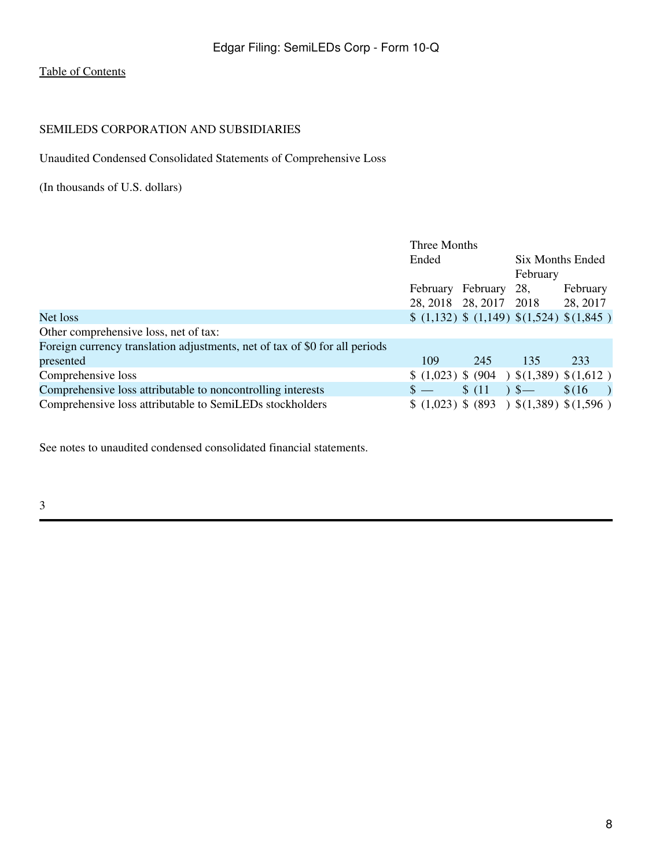# SEMILEDS CORPORATION AND SUBSIDIARIES

<span id="page-7-0"></span>Unaudited Condensed Consolidated Statements of Comprehensive Loss

(In thousands of U.S. dollars)

|                                                                             | Three Months |          |          |                                                  |  |
|-----------------------------------------------------------------------------|--------------|----------|----------|--------------------------------------------------|--|
|                                                                             | Ended        |          |          | Six Months Ended                                 |  |
|                                                                             |              |          | February |                                                  |  |
|                                                                             | February     | February | 28,      | February                                         |  |
|                                                                             | 28, 2018     | 28, 2017 | 2018     | 28, 2017                                         |  |
| Net loss                                                                    |              |          |          | $(1,132)$ \$ $(1,149)$ \$ $(1,524)$ \$ $(1,845)$ |  |
| Other comprehensive loss, net of tax:                                       |              |          |          |                                                  |  |
| Foreign currency translation adjustments, net of tax of \$0 for all periods |              |          |          |                                                  |  |
| presented                                                                   | 109          | 245      | 135      | 233                                              |  |
| Comprehensive loss                                                          |              |          |          | $(1,023)$ \$ (904) \$ (1,389) \$ (1,612)         |  |
| Comprehensive loss attributable to noncontrolling interests                 | $S -$        | \$(11)   | $5-$     | \$(16)                                           |  |
| Comprehensive loss attributable to SemiLEDs stockholders                    |              |          |          | $(1,023)$ \$ (893) \$ (1,389) \$ (1,596)         |  |

See notes to unaudited condensed consolidated financial statements.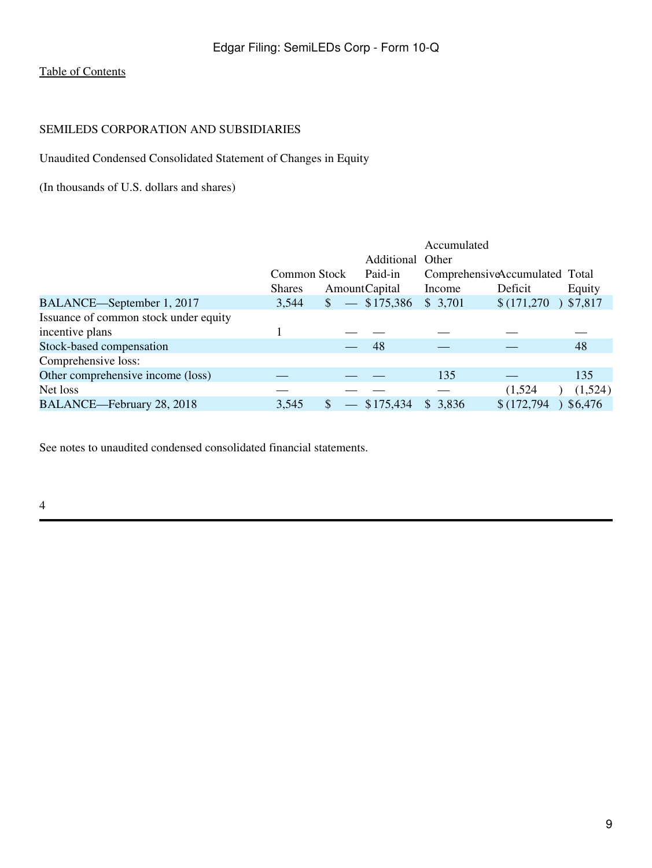# SEMILEDS CORPORATION AND SUBSIDIARIES

<span id="page-8-0"></span>Unaudited Condensed Consolidated Statement of Changes in Equity

(In thousands of U.S. dollars and shares)

|                                       |               |                                    | Accumulated                    |             |         |
|---------------------------------------|---------------|------------------------------------|--------------------------------|-------------|---------|
|                                       |               | Additional Other                   |                                |             |         |
|                                       | Common Stock  | Paid-in                            | ComprehensiveAccumulated Total |             |         |
|                                       | <b>Shares</b> | Amount Capital                     | Income                         | Deficit     | Equity  |
| BALANCE—September 1, 2017             | 3,544         | $\frac{\$}{\$}$ $-$ \\ \ \ 175,386 | \$3,701                        | \$(171,270) | 37,817  |
| Issuance of common stock under equity |               |                                    |                                |             |         |
| incentive plans                       |               |                                    |                                |             |         |
| Stock-based compensation              |               | 48                                 |                                |             | 48      |
| Comprehensive loss:                   |               |                                    |                                |             |         |
| Other comprehensive income (loss)     |               |                                    | 135                            |             | 135     |
| Net loss                              |               |                                    |                                | (1,524)     | (1,524) |
| BALANCE-February 28, 2018             | 3,545         | $-$ \$175,434                      | \$3,836                        | \$(172,794) | \$6,476 |

See notes to unaudited condensed consolidated financial statements.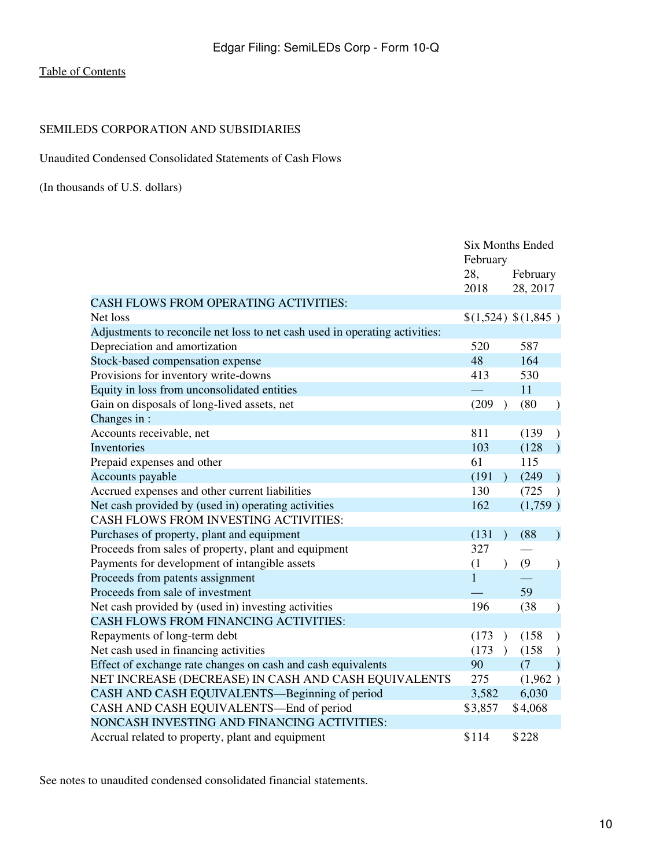# SEMILEDS CORPORATION AND SUBSIDIARIES

<span id="page-9-0"></span>Unaudited Condensed Consolidated Statements of Cash Flows

(In thousands of U.S. dollars)

|                                                                             | <b>Six Months Ended</b><br>February |               |          |               |
|-----------------------------------------------------------------------------|-------------------------------------|---------------|----------|---------------|
|                                                                             | 28,                                 | February      |          |               |
|                                                                             | 2018                                |               | 28, 2017 |               |
| <b>CASH FLOWS FROM OPERATING ACTIVITIES:</b>                                |                                     |               |          |               |
| Net loss                                                                    | \$(1,524) \$(1,845)                 |               |          |               |
| Adjustments to reconcile net loss to net cash used in operating activities: |                                     |               |          |               |
| Depreciation and amortization                                               | 520                                 |               | 587      |               |
| Stock-based compensation expense                                            | 48                                  |               | 164      |               |
| Provisions for inventory write-downs                                        | 413                                 |               | 530      |               |
| Equity in loss from unconsolidated entities                                 |                                     |               | 11       |               |
| Gain on disposals of long-lived assets, net                                 | (209)                               | $\lambda$     | (80)     | $\mathcal{E}$ |
| Changes in:                                                                 |                                     |               |          |               |
| Accounts receivable, net                                                    | 811                                 |               | (139)    |               |
| Inventories                                                                 | 103                                 |               | (128)    |               |
| Prepaid expenses and other                                                  | 61                                  |               | 115      |               |
| Accounts payable                                                            | (191)                               | $\lambda$     | (249)    | $\lambda$     |
| Accrued expenses and other current liabilities                              | 130                                 |               | (725     | $\lambda$     |
| Net cash provided by (used in) operating activities                         | 162                                 |               | (1,759)  |               |
| CASH FLOWS FROM INVESTING ACTIVITIES:                                       |                                     |               |          |               |
| Purchases of property, plant and equipment                                  | (131)                               | $\lambda$     | (88)     | $\mathcal{E}$ |
| Proceeds from sales of property, plant and equipment                        | 327                                 |               |          |               |
| Payments for development of intangible assets                               | (1)                                 | $\lambda$     | (9)      | $\mathcal{E}$ |
| Proceeds from patents assignment                                            | $\mathbf{1}$                        |               |          |               |
| Proceeds from sale of investment                                            |                                     |               | 59       |               |
| Net cash provided by (used in) investing activities                         | 196                                 |               | (38)     | $\mathcal{E}$ |
| <b>CASH FLOWS FROM FINANCING ACTIVITIES:</b>                                |                                     |               |          |               |
| Repayments of long-term debt                                                | (173)                               | $\lambda$     | (158)    |               |
| Net cash used in financing activities                                       | (173)                               | $\rightarrow$ | (158)    |               |
| Effect of exchange rate changes on cash and cash equivalents                | 90                                  |               | (7)      | $\mathcal{L}$ |
| NET INCREASE (DECREASE) IN CASH AND CASH EQUIVALENTS                        | 275                                 |               | (1,962)  |               |
| CASH AND CASH EQUIVALENTS-Beginning of period                               | 3,582                               |               | 6,030    |               |
| CASH AND CASH EQUIVALENTS-End of period                                     | \$3,857                             |               | \$4,068  |               |
| NONCASH INVESTING AND FINANCING ACTIVITIES:                                 |                                     |               |          |               |
| Accrual related to property, plant and equipment                            | \$114                               |               | \$228    |               |

See notes to unaudited condensed consolidated financial statements.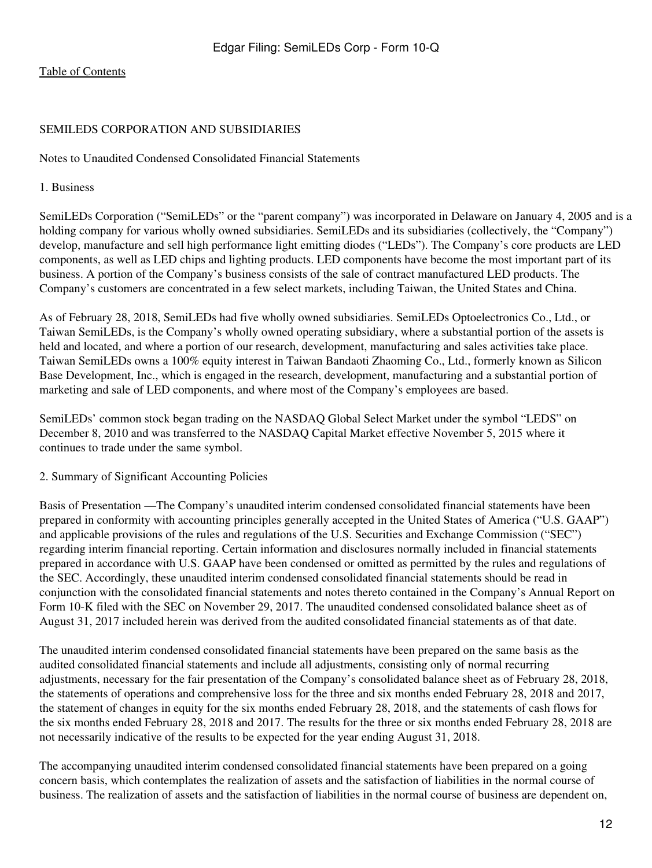## SEMILEDS CORPORATION AND SUBSIDIARIES

<span id="page-11-0"></span>Notes to Unaudited Condensed Consolidated Financial Statements

#### 1. Business

SemiLEDs Corporation ("SemiLEDs" or the "parent company") was incorporated in Delaware on January 4, 2005 and is a holding company for various wholly owned subsidiaries. SemiLEDs and its subsidiaries (collectively, the "Company") develop, manufacture and sell high performance light emitting diodes ("LEDs"). The Company's core products are LED components, as well as LED chips and lighting products. LED components have become the most important part of its business. A portion of the Company's business consists of the sale of contract manufactured LED products. The Company's customers are concentrated in a few select markets, including Taiwan, the United States and China.

As of February 28, 2018, SemiLEDs had five wholly owned subsidiaries. SemiLEDs Optoelectronics Co., Ltd., or Taiwan SemiLEDs, is the Company's wholly owned operating subsidiary, where a substantial portion of the assets is held and located, and where a portion of our research, development, manufacturing and sales activities take place. Taiwan SemiLEDs owns a 100% equity interest in Taiwan Bandaoti Zhaoming Co., Ltd., formerly known as Silicon Base Development, Inc., which is engaged in the research, development, manufacturing and a substantial portion of marketing and sale of LED components, and where most of the Company's employees are based.

SemiLEDs' common stock began trading on the NASDAQ Global Select Market under the symbol "LEDS" on December 8, 2010 and was transferred to the NASDAQ Capital Market effective November 5, 2015 where it continues to trade under the same symbol.

2. Summary of Significant Accounting Policies

Basis of Presentation —The Company's unaudited interim condensed consolidated financial statements have been prepared in conformity with accounting principles generally accepted in the United States of America ("U.S. GAAP") and applicable provisions of the rules and regulations of the U.S. Securities and Exchange Commission ("SEC") regarding interim financial reporting. Certain information and disclosures normally included in financial statements prepared in accordance with U.S. GAAP have been condensed or omitted as permitted by the rules and regulations of the SEC. Accordingly, these unaudited interim condensed consolidated financial statements should be read in conjunction with the consolidated financial statements and notes thereto contained in the Company's Annual Report on Form 10-K filed with the SEC on November 29, 2017. The unaudited condensed consolidated balance sheet as of August 31, 2017 included herein was derived from the audited consolidated financial statements as of that date.

The unaudited interim condensed consolidated financial statements have been prepared on the same basis as the audited consolidated financial statements and include all adjustments, consisting only of normal recurring adjustments, necessary for the fair presentation of the Company's consolidated balance sheet as of February 28, 2018, the statements of operations and comprehensive loss for the three and six months ended February 28, 2018 and 2017, the statement of changes in equity for the six months ended February 28, 2018, and the statements of cash flows for the six months ended February 28, 2018 and 2017. The results for the three or six months ended February 28, 2018 are not necessarily indicative of the results to be expected for the year ending August 31, 2018.

The accompanying unaudited interim condensed consolidated financial statements have been prepared on a going concern basis, which contemplates the realization of assets and the satisfaction of liabilities in the normal course of business. The realization of assets and the satisfaction of liabilities in the normal course of business are dependent on,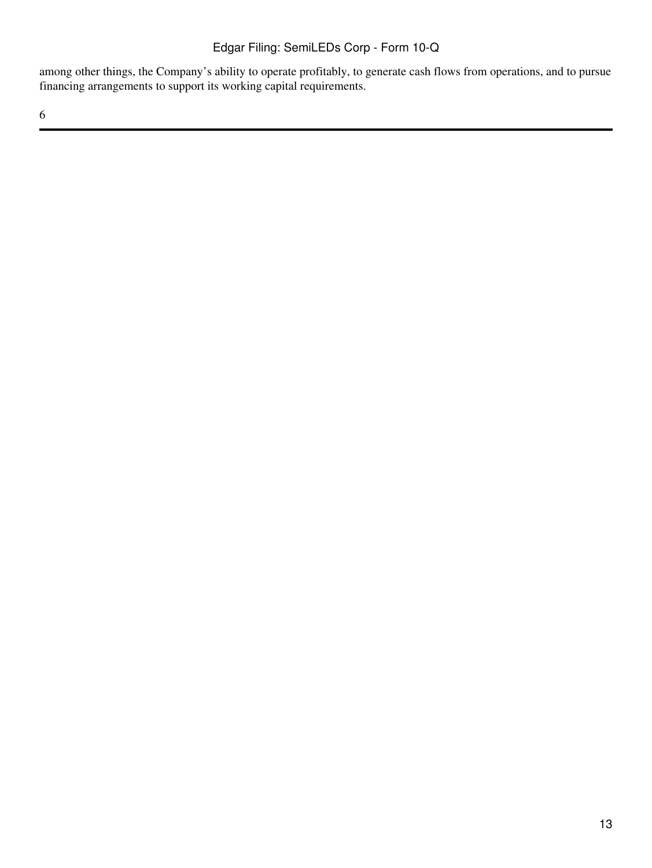among other things, the Company's ability to operate profitably, to generate cash flows from operations, and to pursue financing arrangements to support its working capital requirements.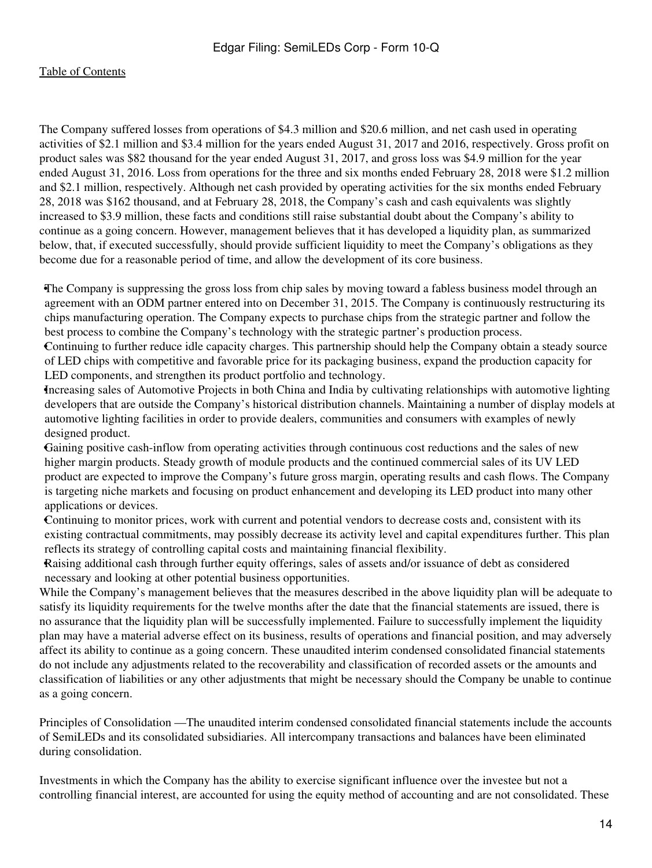The Company suffered losses from operations of \$4.3 million and \$20.6 million, and net cash used in operating activities of \$2.1 million and \$3.4 million for the years ended August 31, 2017 and 2016, respectively. Gross profit on product sales was \$82 thousand for the year ended August 31, 2017, and gross loss was \$4.9 million for the year ended August 31, 2016. Loss from operations for the three and six months ended February 28, 2018 were \$1.2 million and \$2.1 million, respectively. Although net cash provided by operating activities for the six months ended February 28, 2018 was \$162 thousand, and at February 28, 2018, the Company's cash and cash equivalents was slightly increased to \$3.9 million, these facts and conditions still raise substantial doubt about the Company's ability to continue as a going concern. However, management believes that it has developed a liquidity plan, as summarized below, that, if executed successfully, should provide sufficient liquidity to meet the Company's obligations as they become due for a reasonable period of time, and allow the development of its core business.

•The Company is suppressing the gross loss from chip sales by moving toward a fabless business model through an agreement with an ODM partner entered into on December 31, 2015. The Company is continuously restructuring its chips manufacturing operation. The Company expects to purchase chips from the strategic partner and follow the best process to combine the Company's technology with the strategic partner's production process.

•Continuing to further reduce idle capacity charges. This partnership should help the Company obtain a steady source of LED chips with competitive and favorable price for its packaging business, expand the production capacity for LED components, and strengthen its product portfolio and technology.

•Increasing sales of Automotive Projects in both China and India by cultivating relationships with automotive lighting developers that are outside the Company's historical distribution channels. Maintaining a number of display models at automotive lighting facilities in order to provide dealers, communities and consumers with examples of newly designed product.

•Gaining positive cash-inflow from operating activities through continuous cost reductions and the sales of new higher margin products. Steady growth of module products and the continued commercial sales of its UV LED product are expected to improve the Company's future gross margin, operating results and cash flows. The Company is targeting niche markets and focusing on product enhancement and developing its LED product into many other applications or devices.

•Continuing to monitor prices, work with current and potential vendors to decrease costs and, consistent with its existing contractual commitments, may possibly decrease its activity level and capital expenditures further. This plan reflects its strategy of controlling capital costs and maintaining financial flexibility.

•Raising additional cash through further equity offerings, sales of assets and/or issuance of debt as considered necessary and looking at other potential business opportunities.

While the Company's management believes that the measures described in the above liquidity plan will be adequate to satisfy its liquidity requirements for the twelve months after the date that the financial statements are issued, there is no assurance that the liquidity plan will be successfully implemented. Failure to successfully implement the liquidity plan may have a material adverse effect on its business, results of operations and financial position, and may adversely affect its ability to continue as a going concern. These unaudited interim condensed consolidated financial statements do not include any adjustments related to the recoverability and classification of recorded assets or the amounts and classification of liabilities or any other adjustments that might be necessary should the Company be unable to continue as a going concern.

Principles of Consolidation —The unaudited interim condensed consolidated financial statements include the accounts of SemiLEDs and its consolidated subsidiaries. All intercompany transactions and balances have been eliminated during consolidation.

Investments in which the Company has the ability to exercise significant influence over the investee but not a controlling financial interest, are accounted for using the equity method of accounting and are not consolidated. These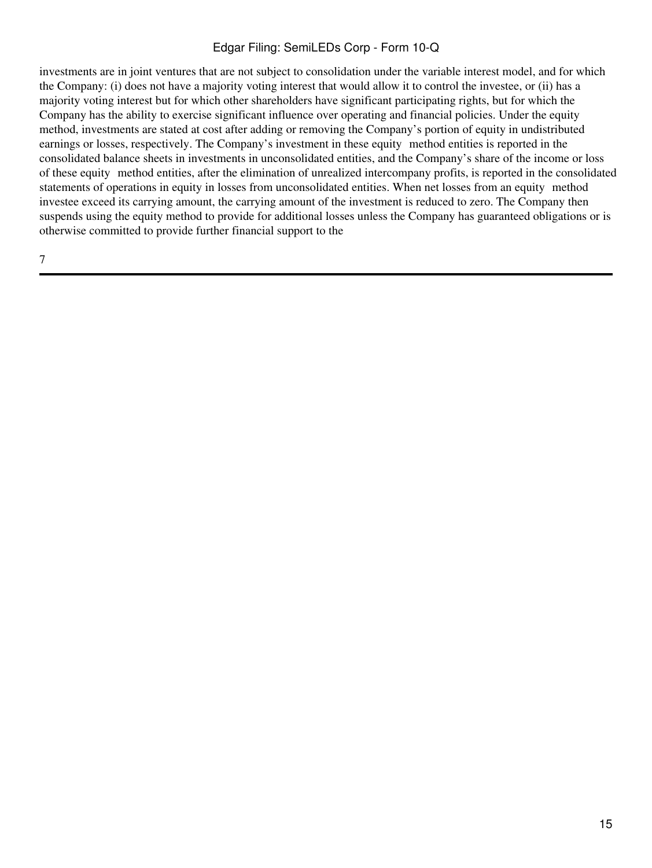investments are in joint ventures that are not subject to consolidation under the variable interest model, and for which the Company: (i) does not have a majority voting interest that would allow it to control the investee, or (ii) has a majority voting interest but for which other shareholders have significant participating rights, but for which the Company has the ability to exercise significant influence over operating and financial policies. Under the equity method, investments are stated at cost after adding or removing the Company's portion of equity in undistributed earnings or losses, respectively. The Company's investment in these equity method entities is reported in the consolidated balance sheets in investments in unconsolidated entities, and the Company's share of the income or loss of these equity‑method entities, after the elimination of unrealized intercompany profits, is reported in the consolidated statements of operations in equity in losses from unconsolidated entities. When net losses from an equity method investee exceed its carrying amount, the carrying amount of the investment is reduced to zero. The Company then suspends using the equity method to provide for additional losses unless the Company has guaranteed obligations or is otherwise committed to provide further financial support to the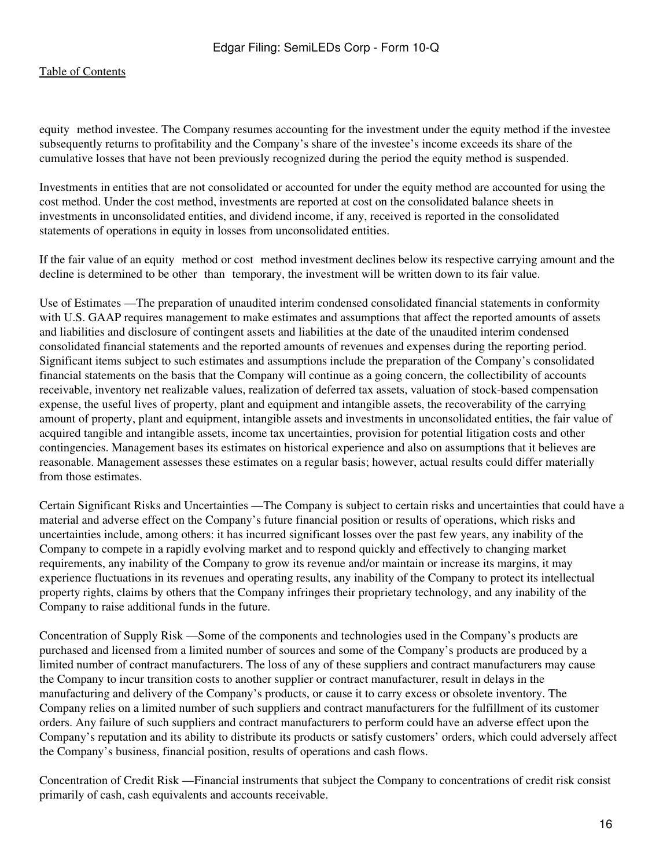equity method investee. The Company resumes accounting for the investment under the equity method if the investee subsequently returns to profitability and the Company's share of the investee's income exceeds its share of the cumulative losses that have not been previously recognized during the period the equity method is suspended.

Investments in entities that are not consolidated or accounted for under the equity method are accounted for using the cost method. Under the cost method, investments are reported at cost on the consolidated balance sheets in investments in unconsolidated entities, and dividend income, if any, received is reported in the consolidated statements of operations in equity in losses from unconsolidated entities.

If the fair value of an equity—method or cost—method investment declines below its respective carrying amount and the decline is determined to be other than temporary, the investment will be written down to its fair value.

Use of Estimates —The preparation of unaudited interim condensed consolidated financial statements in conformity with U.S. GAAP requires management to make estimates and assumptions that affect the reported amounts of assets and liabilities and disclosure of contingent assets and liabilities at the date of the unaudited interim condensed consolidated financial statements and the reported amounts of revenues and expenses during the reporting period. Significant items subject to such estimates and assumptions include the preparation of the Company's consolidated financial statements on the basis that the Company will continue as a going concern, the collectibility of accounts receivable, inventory net realizable values, realization of deferred tax assets, valuation of stock-based compensation expense, the useful lives of property, plant and equipment and intangible assets, the recoverability of the carrying amount of property, plant and equipment, intangible assets and investments in unconsolidated entities, the fair value of acquired tangible and intangible assets, income tax uncertainties, provision for potential litigation costs and other contingencies. Management bases its estimates on historical experience and also on assumptions that it believes are reasonable. Management assesses these estimates on a regular basis; however, actual results could differ materially from those estimates.

Certain Significant Risks and Uncertainties —The Company is subject to certain risks and uncertainties that could have a material and adverse effect on the Company's future financial position or results of operations, which risks and uncertainties include, among others: it has incurred significant losses over the past few years, any inability of the Company to compete in a rapidly evolving market and to respond quickly and effectively to changing market requirements, any inability of the Company to grow its revenue and/or maintain or increase its margins, it may experience fluctuations in its revenues and operating results, any inability of the Company to protect its intellectual property rights, claims by others that the Company infringes their proprietary technology, and any inability of the Company to raise additional funds in the future.

Concentration of Supply Risk —Some of the components and technologies used in the Company's products are purchased and licensed from a limited number of sources and some of the Company's products are produced by a limited number of contract manufacturers. The loss of any of these suppliers and contract manufacturers may cause the Company to incur transition costs to another supplier or contract manufacturer, result in delays in the manufacturing and delivery of the Company's products, or cause it to carry excess or obsolete inventory. The Company relies on a limited number of such suppliers and contract manufacturers for the fulfillment of its customer orders. Any failure of such suppliers and contract manufacturers to perform could have an adverse effect upon the Company's reputation and its ability to distribute its products or satisfy customers' orders, which could adversely affect the Company's business, financial position, results of operations and cash flows.

Concentration of Credit Risk —Financial instruments that subject the Company to concentrations of credit risk consist primarily of cash, cash equivalents and accounts receivable.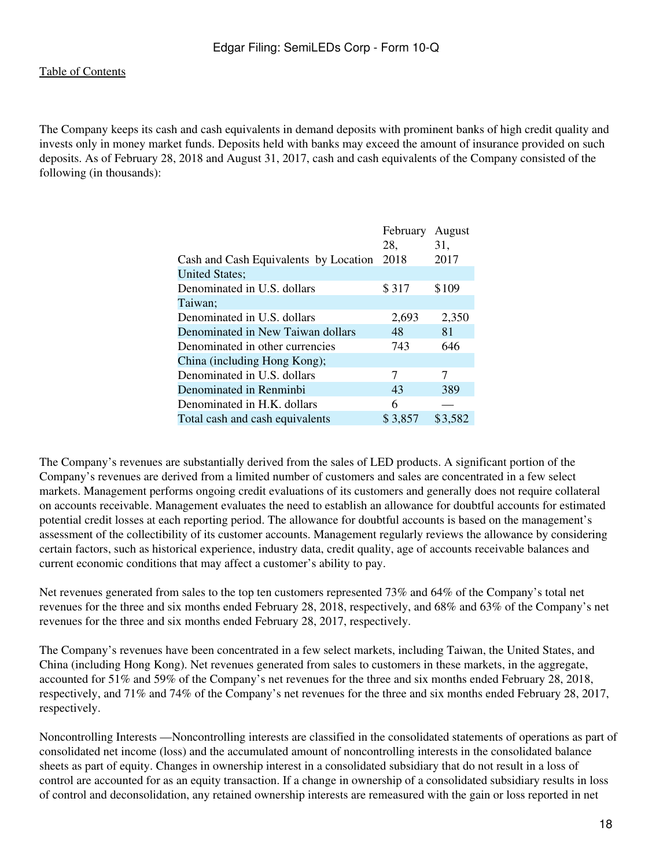The Company keeps its cash and cash equivalents in demand deposits with prominent banks of high credit quality and invests only in money market funds. Deposits held with banks may exceed the amount of insurance provided on such deposits. As of February 28, 2018 and August 31, 2017, cash and cash equivalents of the Company consisted of the following (in thousands):

|                                       | February | August  |
|---------------------------------------|----------|---------|
|                                       | 28.      | 31,     |
| Cash and Cash Equivalents by Location | 2018     | 2017    |
| <b>United States;</b>                 |          |         |
| Denominated in U.S. dollars           | \$317    | \$109   |
| Taiwan;                               |          |         |
| Denominated in U.S. dollars           | 2,693    | 2,350   |
| Denominated in New Taiwan dollars     | 48       | 81      |
| Denominated in other currencies       | 743      | 646     |
| China (including Hong Kong);          |          |         |
| Denominated in U.S. dollars           | 7        | 7       |
| Denominated in Renminbi               | 43       | 389     |
| Denominated in H.K. dollars           | 6        |         |
| Total cash and cash equivalents       | \$3,857  | \$3,582 |

The Company's revenues are substantially derived from the sales of LED products. A significant portion of the Company's revenues are derived from a limited number of customers and sales are concentrated in a few select markets. Management performs ongoing credit evaluations of its customers and generally does not require collateral on accounts receivable. Management evaluates the need to establish an allowance for doubtful accounts for estimated potential credit losses at each reporting period. The allowance for doubtful accounts is based on the management's assessment of the collectibility of its customer accounts. Management regularly reviews the allowance by considering certain factors, such as historical experience, industry data, credit quality, age of accounts receivable balances and current economic conditions that may affect a customer's ability to pay.

Net revenues generated from sales to the top ten customers represented 73% and 64% of the Company's total net revenues for the three and six months ended February 28, 2018, respectively, and 68% and 63% of the Company's net revenues for the three and six months ended February 28, 2017, respectively.

The Company's revenues have been concentrated in a few select markets, including Taiwan, the United States, and China (including Hong Kong). Net revenues generated from sales to customers in these markets, in the aggregate, accounted for 51% and 59% of the Company's net revenues for the three and six months ended February 28, 2018, respectively, and 71% and 74% of the Company's net revenues for the three and six months ended February 28, 2017, respectively.

Noncontrolling Interests —Noncontrolling interests are classified in the consolidated statements of operations as part of consolidated net income (loss) and the accumulated amount of noncontrolling interests in the consolidated balance sheets as part of equity. Changes in ownership interest in a consolidated subsidiary that do not result in a loss of control are accounted for as an equity transaction. If a change in ownership of a consolidated subsidiary results in loss of control and deconsolidation, any retained ownership interests are remeasured with the gain or loss reported in net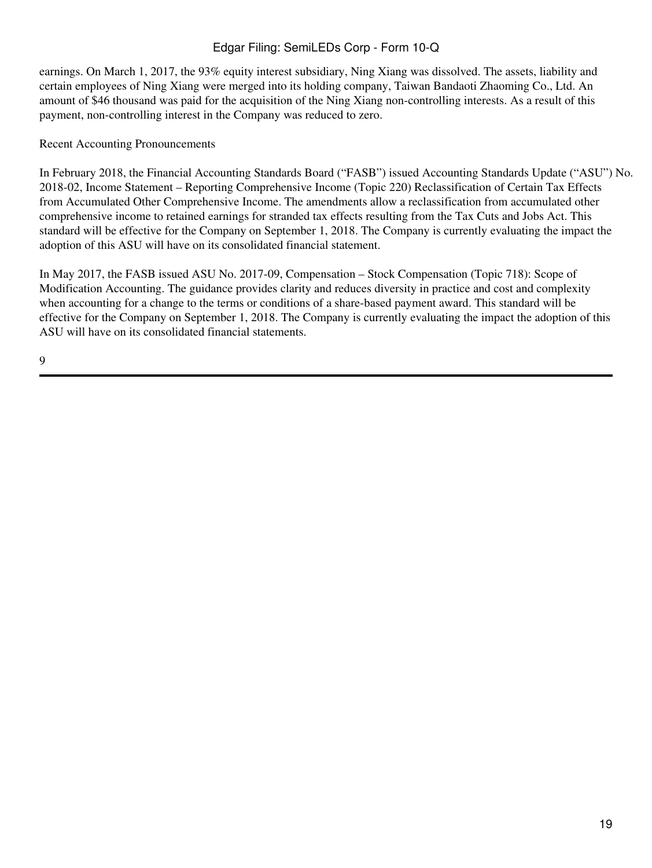earnings. On March 1, 2017, the 93% equity interest subsidiary, Ning Xiang was dissolved. The assets, liability and certain employees of Ning Xiang were merged into its holding company, Taiwan Bandaoti Zhaoming Co., Ltd. An amount of \$46 thousand was paid for the acquisition of the Ning Xiang non-controlling interests. As a result of this payment, non-controlling interest in the Company was reduced to zero.

# Recent Accounting Pronouncements

In February 2018, the Financial Accounting Standards Board ("FASB") issued Accounting Standards Update ("ASU") No. 2018-02, Income Statement – Reporting Comprehensive Income (Topic 220) Reclassification of Certain Tax Effects from Accumulated Other Comprehensive Income. The amendments allow a reclassification from accumulated other comprehensive income to retained earnings for stranded tax effects resulting from the Tax Cuts and Jobs Act. This standard will be effective for the Company on September 1, 2018. The Company is currently evaluating the impact the adoption of this ASU will have on its consolidated financial statement.

In May 2017, the FASB issued ASU No. 2017-09, Compensation – Stock Compensation (Topic 718): Scope of Modification Accounting. The guidance provides clarity and reduces diversity in practice and cost and complexity when accounting for a change to the terms or conditions of a share-based payment award. This standard will be effective for the Company on September 1, 2018. The Company is currently evaluating the impact the adoption of this ASU will have on its consolidated financial statements.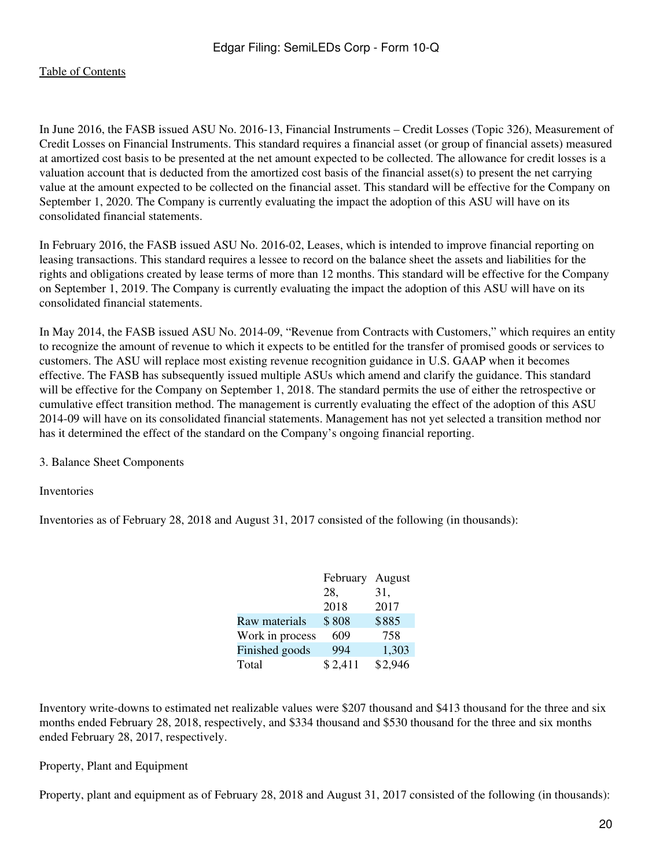In June 2016, the FASB issued ASU No. 2016-13, Financial Instruments – Credit Losses (Topic 326), Measurement of Credit Losses on Financial Instruments. This standard requires a financial asset (or group of financial assets) measured at amortized cost basis to be presented at the net amount expected to be collected. The allowance for credit losses is a valuation account that is deducted from the amortized cost basis of the financial asset(s) to present the net carrying value at the amount expected to be collected on the financial asset. This standard will be effective for the Company on September 1, 2020. The Company is currently evaluating the impact the adoption of this ASU will have on its consolidated financial statements.

In February 2016, the FASB issued ASU No. 2016-02, Leases, which is intended to improve financial reporting on leasing transactions. This standard requires a lessee to record on the balance sheet the assets and liabilities for the rights and obligations created by lease terms of more than 12 months. This standard will be effective for the Company on September 1, 2019. The Company is currently evaluating the impact the adoption of this ASU will have on its consolidated financial statements.

In May 2014, the FASB issued ASU No. 2014-09, "Revenue from Contracts with Customers," which requires an entity to recognize the amount of revenue to which it expects to be entitled for the transfer of promised goods or services to customers. The ASU will replace most existing revenue recognition guidance in U.S. GAAP when it becomes effective. The FASB has subsequently issued multiple ASUs which amend and clarify the guidance. This standard will be effective for the Company on September 1, 2018. The standard permits the use of either the retrospective or cumulative effect transition method. The management is currently evaluating the effect of the adoption of this ASU 2014-09 will have on its consolidated financial statements. Management has not yet selected a transition method nor has it determined the effect of the standard on the Company's ongoing financial reporting.

3. Balance Sheet Components

Inventories

Inventories as of February 28, 2018 and August 31, 2017 consisted of the following (in thousands):

|                 | February | August  |
|-----------------|----------|---------|
|                 | 28,      | 31,     |
|                 | 2018     | 2017    |
| Raw materials   | \$808    | \$885   |
| Work in process | 609      | 758     |
| Finished goods  | 994      | 1,303   |
| Total           | \$2,411  | \$2,946 |

Inventory write-downs to estimated net realizable values were \$207 thousand and \$413 thousand for the three and six months ended February 28, 2018, respectively, and \$334 thousand and \$530 thousand for the three and six months ended February 28, 2017, respectively.

Property, Plant and Equipment

Property, plant and equipment as of February 28, 2018 and August 31, 2017 consisted of the following (in thousands):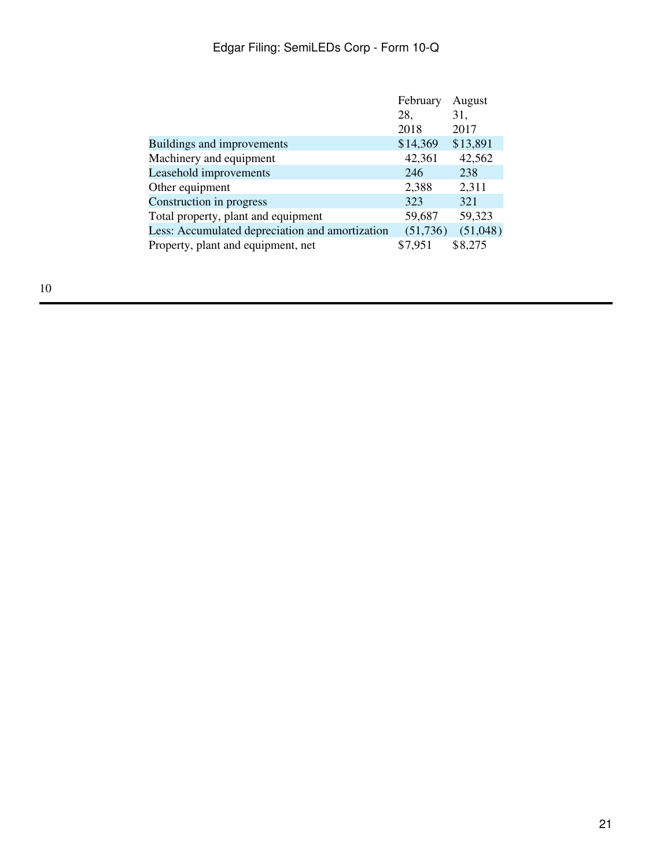|                                                 | February  | August   |  |
|-------------------------------------------------|-----------|----------|--|
|                                                 | 28,       | 31,      |  |
|                                                 | 2018      | 2017     |  |
| Buildings and improvements                      | \$14,369  | \$13,891 |  |
| Machinery and equipment                         | 42,361    | 42,562   |  |
| Leasehold improvements                          | 246       | 238      |  |
| Other equipment                                 | 2,388     | 2,311    |  |
| Construction in progress                        | 323       | 321      |  |
| Total property, plant and equipment             | 59,687    | 59,323   |  |
| Less: Accumulated depreciation and amortization | (51, 736) | (51,048) |  |
| Property, plant and equipment, net              | \$7,951   | \$8,275  |  |
|                                                 |           |          |  |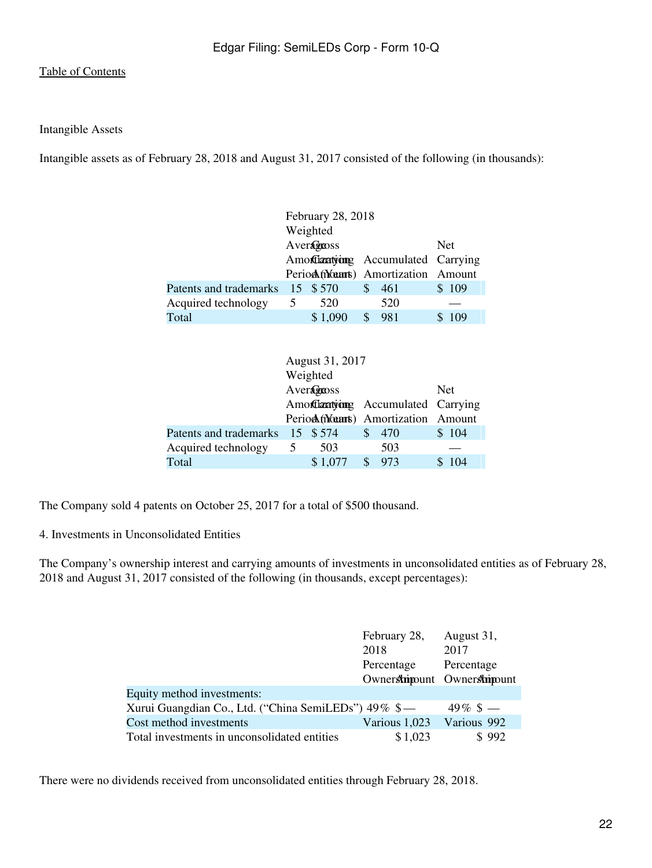Intangible Assets

Intangible assets as of February 28, 2018 and August 31, 2017 consisted of the following (in thousands):

|                                 | February 28, 2018 |            |              |                                      |  |       |  |  |
|---------------------------------|-------------------|------------|--------------|--------------------------------------|--|-------|--|--|
|                                 |                   | Weighted   |              |                                      |  |       |  |  |
|                                 |                   | Averagenss | <b>Net</b>   |                                      |  |       |  |  |
|                                 |                   |            |              | Amortizatyong Accumulated Carrying   |  |       |  |  |
|                                 |                   |            |              | Perioch (Wearts) Amortization Amount |  |       |  |  |
| Patents and trademarks 15 \$570 |                   |            | <sup>S</sup> | 461                                  |  | \$109 |  |  |
| Acquired technology             | 5                 | 520        |              | 520                                  |  |       |  |  |
| Total                           |                   | \$1,090    |              | 981                                  |  | -109  |  |  |
|                                 |                   |            |              |                                      |  |       |  |  |

|                                 | August 31, 2017                    |            |              |                                    |  |       |  |  |
|---------------------------------|------------------------------------|------------|--------------|------------------------------------|--|-------|--|--|
|                                 |                                    | Weighted   |              |                                    |  |       |  |  |
|                                 |                                    | Averageoss | <b>Net</b>   |                                    |  |       |  |  |
|                                 | Amortizatyong Accumulated Carrying |            |              |                                    |  |       |  |  |
|                                 |                                    |            |              | Period (Mants) Amortization Amount |  |       |  |  |
| Patents and trademarks 15 \$574 |                                    |            | <sup>S</sup> | 470                                |  | \$104 |  |  |
| Acquired technology             | 5                                  | 503        |              | 503                                |  |       |  |  |
| Total                           |                                    | \$1,077    |              | 973                                |  | -104  |  |  |
|                                 |                                    |            |              |                                    |  |       |  |  |

The Company sold 4 patents on October 25, 2017 for a total of \$500 thousand.

4. Investments in Unconsolidated Entities

The Company's ownership interest and carrying amounts of investments in unconsolidated entities as of February 28, 2018 and August 31, 2017 consisted of the following (in thousands, except percentages):

|                                                      | February 28,                | August 31,       |
|------------------------------------------------------|-----------------------------|------------------|
|                                                      | 2018                        | 2017             |
|                                                      | Percentage                  | Percentage       |
|                                                      | Ownershippunt Ownershippunt |                  |
| Equity method investments:                           |                             |                  |
| Xurui Guangdian Co., Ltd. ("China SemiLEDs") 49% \$— |                             | $49\%~{\rm s}$ — |
| Cost method investments                              | Various 1,023               | Various 992      |
| Total investments in unconsolidated entities         | \$1,023                     | \$992            |

There were no dividends received from unconsolidated entities through February 28, 2018.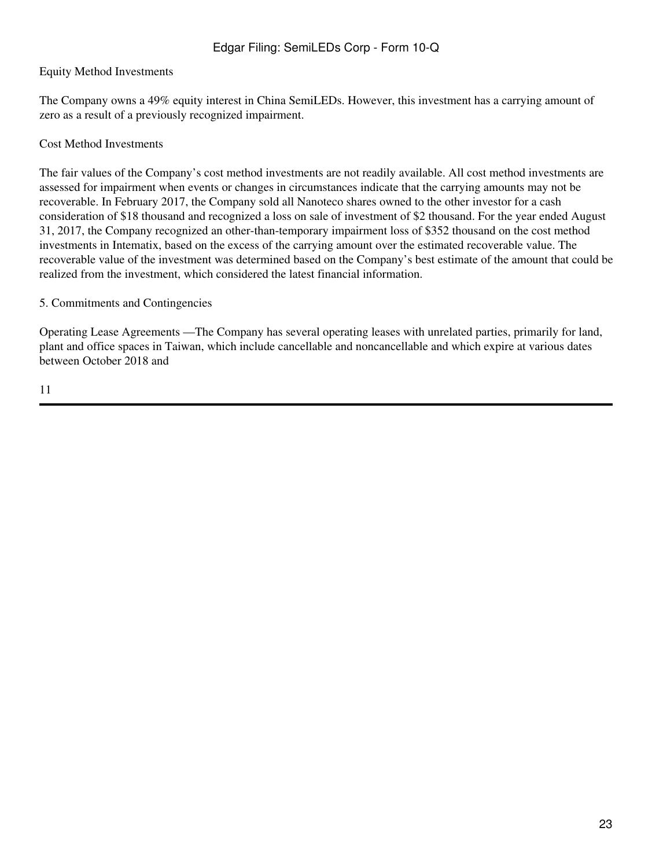# Equity Method Investments

The Company owns a 49% equity interest in China SemiLEDs. However, this investment has a carrying amount of zero as a result of a previously recognized impairment.

## Cost Method Investments

The fair values of the Company's cost method investments are not readily available. All cost method investments are assessed for impairment when events or changes in circumstances indicate that the carrying amounts may not be recoverable. In February 2017, the Company sold all Nanoteco shares owned to the other investor for a cash consideration of \$18 thousand and recognized a loss on sale of investment of \$2 thousand. For the year ended August 31, 2017, the Company recognized an other-than-temporary impairment loss of \$352 thousand on the cost method investments in Intematix, based on the excess of the carrying amount over the estimated recoverable value. The recoverable value of the investment was determined based on the Company's best estimate of the amount that could be realized from the investment, which considered the latest financial information.

## 5. Commitments and Contingencies

Operating Lease Agreements —The Company has several operating leases with unrelated parties, primarily for land, plant and office spaces in Taiwan, which include cancellable and noncancellable and which expire at various dates between October 2018 and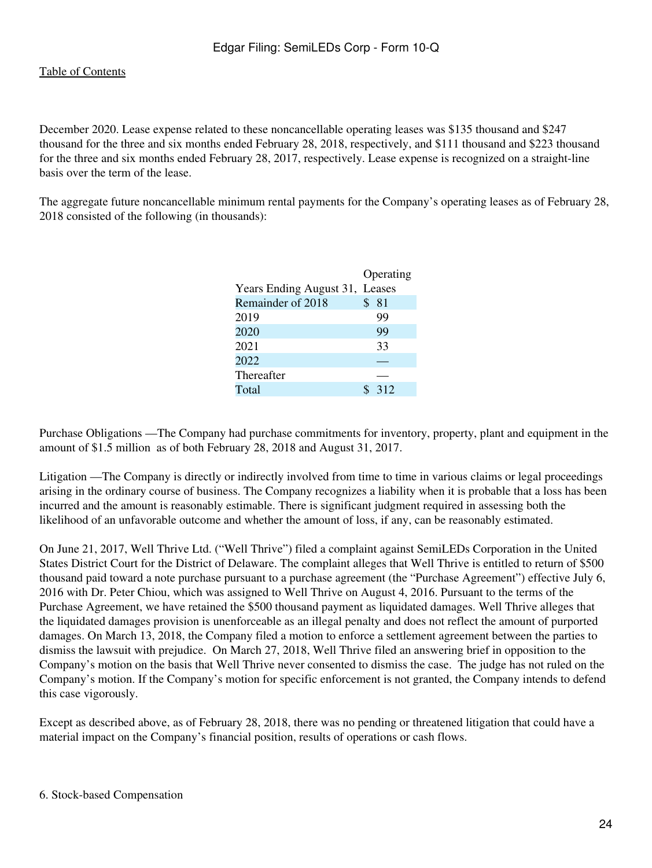December 2020. Lease expense related to these noncancellable operating leases was \$135 thousand and \$247 thousand for the three and six months ended February 28, 2018, respectively, and \$111 thousand and \$223 thousand for the three and six months ended February 28, 2017, respectively. Lease expense is recognized on a straight-line basis over the term of the lease.

The aggregate future noncancellable minimum rental payments for the Company's operating leases as of February 28, 2018 consisted of the following (in thousands):

|                                |     | Operating |
|--------------------------------|-----|-----------|
| Years Ending August 31, Leases |     |           |
| Remainder of 2018              | \$. | - 81      |
| 2019                           |     | 99        |
| 2020                           |     | 99        |
| 2021                           |     | 33        |
| 2022                           |     |           |
| Thereafter                     |     |           |
| Total                          |     | 312       |

Purchase Obligations —The Company had purchase commitments for inventory, property, plant and equipment in the amount of \$1.5 million as of both February 28, 2018 and August 31, 2017.

Litigation —The Company is directly or indirectly involved from time to time in various claims or legal proceedings arising in the ordinary course of business. The Company recognizes a liability when it is probable that a loss has been incurred and the amount is reasonably estimable. There is significant judgment required in assessing both the likelihood of an unfavorable outcome and whether the amount of loss, if any, can be reasonably estimated.

On June 21, 2017, Well Thrive Ltd. ("Well Thrive") filed a complaint against SemiLEDs Corporation in the United States District Court for the District of Delaware. The complaint alleges that Well Thrive is entitled to return of \$500 thousand paid toward a note purchase pursuant to a purchase agreement (the "Purchase Agreement") effective July 6, 2016 with Dr. Peter Chiou, which was assigned to Well Thrive on August 4, 2016. Pursuant to the terms of the Purchase Agreement, we have retained the \$500 thousand payment as liquidated damages. Well Thrive alleges that the liquidated damages provision is unenforceable as an illegal penalty and does not reflect the amount of purported damages. On March 13, 2018, the Company filed a motion to enforce a settlement agreement between the parties to dismiss the lawsuit with prejudice. On March 27, 2018, Well Thrive filed an answering brief in opposition to the Company's motion on the basis that Well Thrive never consented to dismiss the case. The judge has not ruled on the Company's motion. If the Company's motion for specific enforcement is not granted, the Company intends to defend this case vigorously.

Except as described above, as of February 28, 2018, there was no pending or threatened litigation that could have a material impact on the Company's financial position, results of operations or cash flows.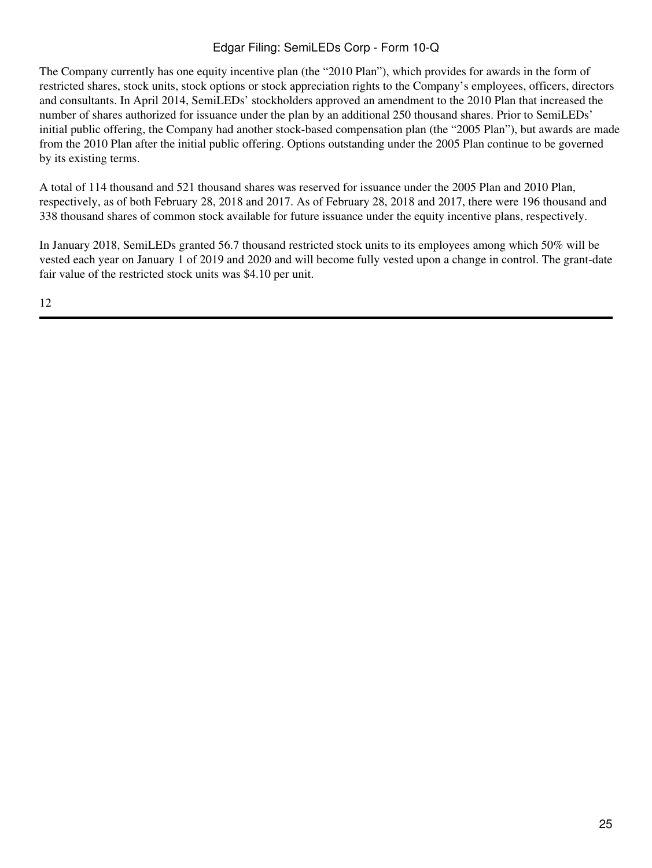The Company currently has one equity incentive plan (the "2010 Plan"), which provides for awards in the form of restricted shares, stock units, stock options or stock appreciation rights to the Company's employees, officers, directors and consultants. In April 2014, SemiLEDs' stockholders approved an amendment to the 2010 Plan that increased the number of shares authorized for issuance under the plan by an additional 250 thousand shares. Prior to SemiLEDs' initial public offering, the Company had another stock-based compensation plan (the "2005 Plan"), but awards are made from the 2010 Plan after the initial public offering. Options outstanding under the 2005 Plan continue to be governed by its existing terms.

A total of 114 thousand and 521 thousand shares was reserved for issuance under the 2005 Plan and 2010 Plan, respectively, as of both February 28, 2018 and 2017. As of February 28, 2018 and 2017, there were 196 thousand and 338 thousand shares of common stock available for future issuance under the equity incentive plans, respectively.

In January 2018, SemiLEDs granted 56.7 thousand restricted stock units to its employees among which 50% will be vested each year on January 1 of 2019 and 2020 and will become fully vested upon a change in control. The grant-date fair value of the restricted stock units was \$4.10 per unit.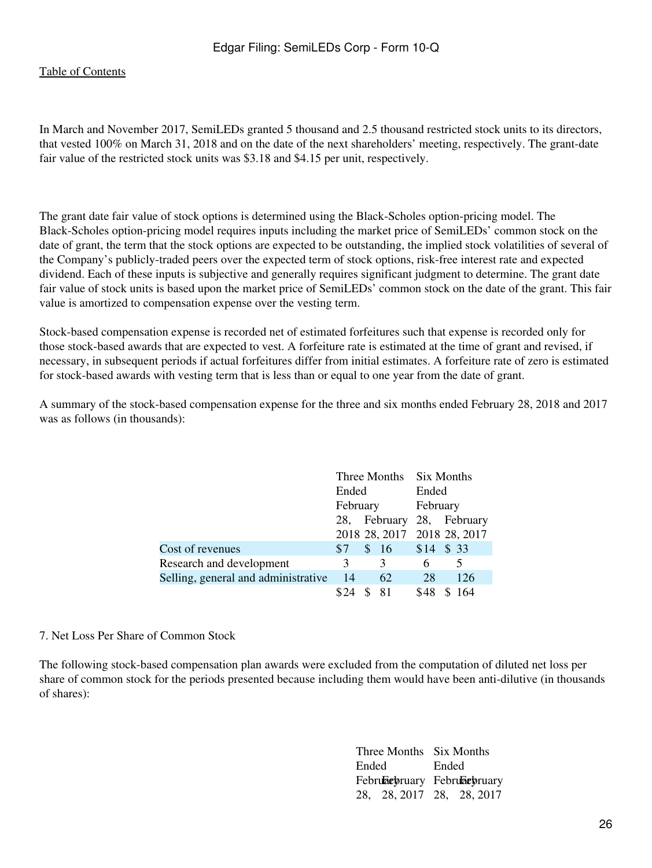In March and November 2017, SemiLEDs granted 5 thousand and 2.5 thousand restricted stock units to its directors, that vested 100% on March 31, 2018 and on the date of the next shareholders' meeting, respectively. The grant-date fair value of the restricted stock units was \$3.18 and \$4.15 per unit, respectively.

The grant date fair value of stock options is determined using the Black-Scholes option-pricing model. The Black-Scholes option-pricing model requires inputs including the market price of SemiLEDs' common stock on the date of grant, the term that the stock options are expected to be outstanding, the implied stock volatilities of several of the Company's publicly-traded peers over the expected term of stock options, risk-free interest rate and expected dividend. Each of these inputs is subjective and generally requires significant judgment to determine. The grant date fair value of stock units is based upon the market price of SemiLEDs' common stock on the date of the grant. This fair value is amortized to compensation expense over the vesting term.

Stock-based compensation expense is recorded net of estimated forfeitures such that expense is recorded only for those stock-based awards that are expected to vest. A forfeiture rate is estimated at the time of grant and revised, if necessary, in subsequent periods if actual forfeitures differ from initial estimates. A forfeiture rate of zero is estimated for stock-based awards with vesting term that is less than or equal to one year from the date of grant.

A summary of the stock-based compensation expense for the three and six months ended February 28, 2018 and 2017 was as follows (in thousands):

|                                     |       |          | Three Months Six Months     |  |  |
|-------------------------------------|-------|----------|-----------------------------|--|--|
|                                     | Ended |          | Ended                       |  |  |
|                                     |       | February | February                    |  |  |
|                                     |       |          | 28, February 28, February   |  |  |
|                                     |       |          | 2018 28, 2017 2018 28, 2017 |  |  |
| Cost of revenues                    | \$7   | \$16     | $$14$ \$ 33                 |  |  |
| Research and development            | 3     | 3        | 5<br>6                      |  |  |
| Selling, general and administrative | -14   | 62       | 28<br>126                   |  |  |
|                                     |       | 81       | \$48<br>\$164               |  |  |

7. Net Loss Per Share of Common Stock

The following stock-based compensation plan awards were excluded from the computation of diluted net loss per share of common stock for the periods presented because including them would have been anti-dilutive (in thousands of shares):

> Three Months Six Months Ended Ended February February 28, 28, 2017 28, 28, 2017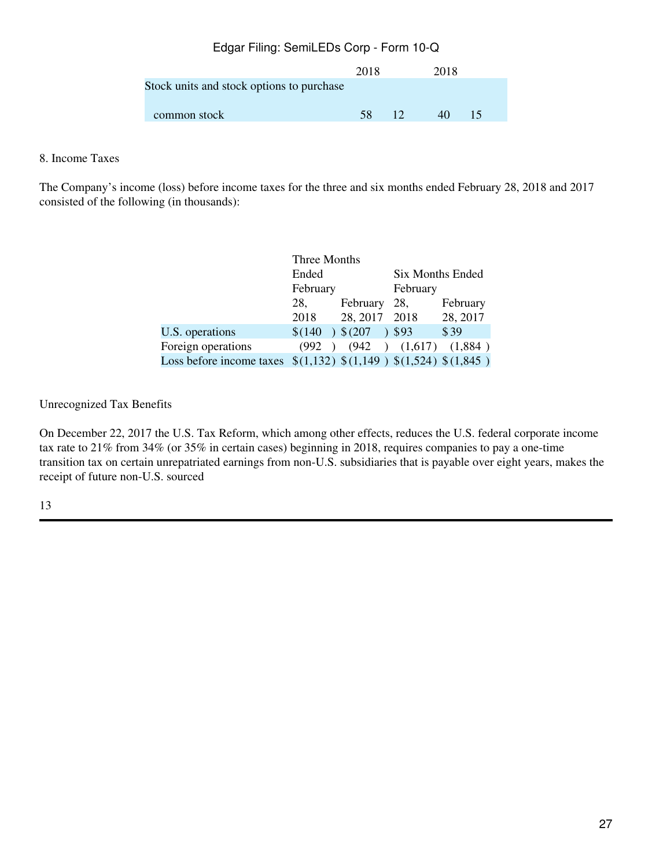|                                           | 2018 |                | 2018 |    |
|-------------------------------------------|------|----------------|------|----|
| Stock units and stock options to purchase |      |                |      |    |
| common stock                              | 58   | $\blacksquare$ | 40   | 15 |

# 8. Income Taxes

The Company's income (loss) before income taxes for the three and six months ended February 28, 2018 and 2017 consisted of the following (in thousands):

|                                                                  | Three Months |                                     |                         |          |  |  |
|------------------------------------------------------------------|--------------|-------------------------------------|-------------------------|----------|--|--|
|                                                                  | Ended        |                                     | <b>Six Months Ended</b> |          |  |  |
|                                                                  | February     |                                     | February                |          |  |  |
|                                                                  | 28,          | February                            | 28,                     | February |  |  |
|                                                                  | 2018         | 28, 2017 2018                       |                         | 28, 2017 |  |  |
| U.S. operations                                                  | \$(140)      | $\left( \frac{1}{207} \right)$ \$93 |                         | \$39     |  |  |
| Foreign operations                                               | (992)        |                                     | $(942)$ $(1,617)$       | (1,884)  |  |  |
| Loss before income taxes $(1,132)$ $(1,149)$ $(1,524)$ $(1,845)$ |              |                                     |                         |          |  |  |

Unrecognized Tax Benefits

On December 22, 2017 the U.S. Tax Reform, which among other effects, reduces the U.S. federal corporate income tax rate to 21% from 34% (or 35% in certain cases) beginning in 2018, requires companies to pay a one-time transition tax on certain unrepatriated earnings from non-U.S. subsidiaries that is payable over eight years, makes the receipt of future non-U.S. sourced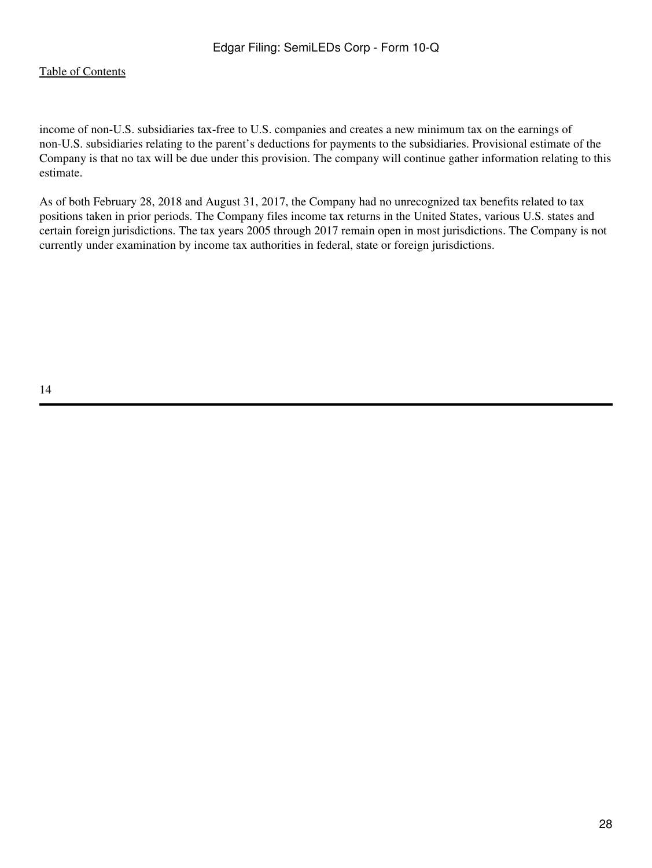income of non-U.S. subsidiaries tax-free to U.S. companies and creates a new minimum tax on the earnings of non-U.S. subsidiaries relating to the parent's deductions for payments to the subsidiaries. Provisional estimate of the Company is that no tax will be due under this provision. The company will continue gather information relating to this estimate.

As of both February 28, 2018 and August 31, 2017, the Company had no unrecognized tax benefits related to tax positions taken in prior periods. The Company files income tax returns in the United States, various U.S. states and certain foreign jurisdictions. The tax years 2005 through 2017 remain open in most jurisdictions. The Company is not currently under examination by income tax authorities in federal, state or foreign jurisdictions.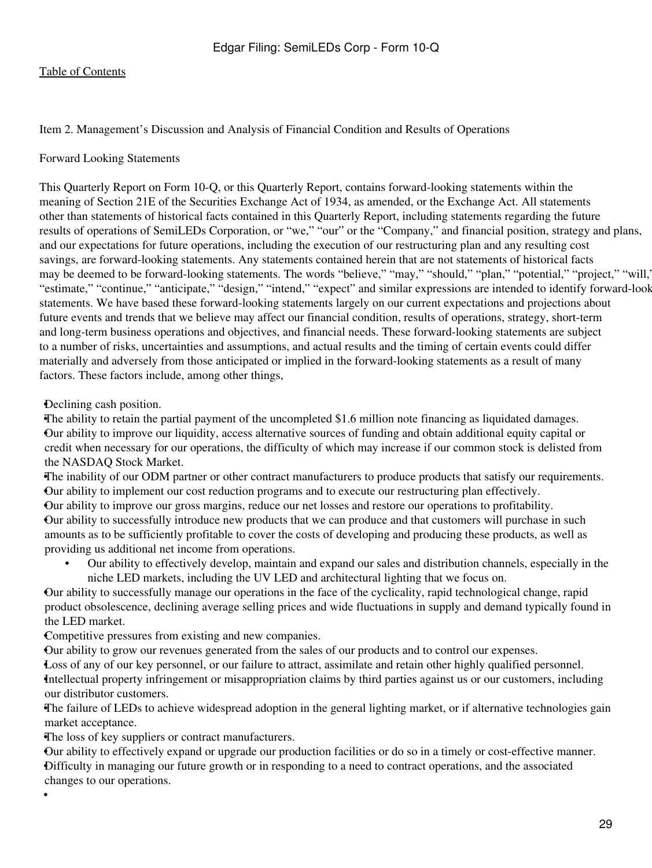<span id="page-28-0"></span>Item 2. Management's Discussion and Analysis of Financial Condition and Results of Operations

#### Forward Looking Statements

This Quarterly Report on Form 10-Q, or this Quarterly Report, contains forward-looking statements within the meaning of Section 21E of the Securities Exchange Act of 1934, as amended, or the Exchange Act. All statements other than statements of historical facts contained in this Quarterly Report, including statements regarding the future results of operations of SemiLEDs Corporation, or "we," "our" or the "Company," and financial position, strategy and plans, and our expectations for future operations, including the execution of our restructuring plan and any resulting cost savings, are forward-looking statements. Any statements contained herein that are not statements of historical facts may be deemed to be forward-looking statements. The words "believe," "may," "should," "plan," "potential," "project," "will," "estimate," "continue," "anticipate," "design," "intend," "expect" and similar expressions are intended to identify forward-look statements. We have based these forward-looking statements largely on our current expectations and projections about future events and trends that we believe may affect our financial condition, results of operations, strategy, short-term and long-term business operations and objectives, and financial needs. These forward-looking statements are subject to a number of risks, uncertainties and assumptions, and actual results and the timing of certain events could differ materially and adversely from those anticipated or implied in the forward-looking statements as a result of many factors. These factors include, among other things,

### •Declining cash position.

•

•The ability to retain the partial payment of the uncompleted \$1.6 million note financing as liquidated damages. •Our ability to improve our liquidity, access alternative sources of funding and obtain additional equity capital or credit when necessary for our operations, the difficulty of which may increase if our common stock is delisted from the NASDAQ Stock Market.

•The inability of our ODM partner or other contract manufacturers to produce products that satisfy our requirements. •Our ability to implement our cost reduction programs and to execute our restructuring plan effectively.

•Our ability to improve our gross margins, reduce our net losses and restore our operations to profitability. •Our ability to successfully introduce new products that we can produce and that customers will purchase in such amounts as to be sufficiently profitable to cover the costs of developing and producing these products, as well as providing us additional net income from operations.

• Our ability to effectively develop, maintain and expand our sales and distribution channels, especially in the niche LED markets, including the UV LED and architectural lighting that we focus on.

•Our ability to successfully manage our operations in the face of the cyclicality, rapid technological change, rapid product obsolescence, declining average selling prices and wide fluctuations in supply and demand typically found in the LED market.

•Competitive pressures from existing and new companies.

•Our ability to grow our revenues generated from the sales of our products and to control our expenses.

•Loss of any of our key personnel, or our failure to attract, assimilate and retain other highly qualified personnel. •Intellectual property infringement or misappropriation claims by third parties against us or our customers, including our distributor customers.

•The failure of LEDs to achieve widespread adoption in the general lighting market, or if alternative technologies gain market acceptance.

•The loss of key suppliers or contract manufacturers.

•Our ability to effectively expand or upgrade our production facilities or do so in a timely or cost-effective manner. •Difficulty in managing our future growth or in responding to a need to contract operations, and the associated changes to our operations.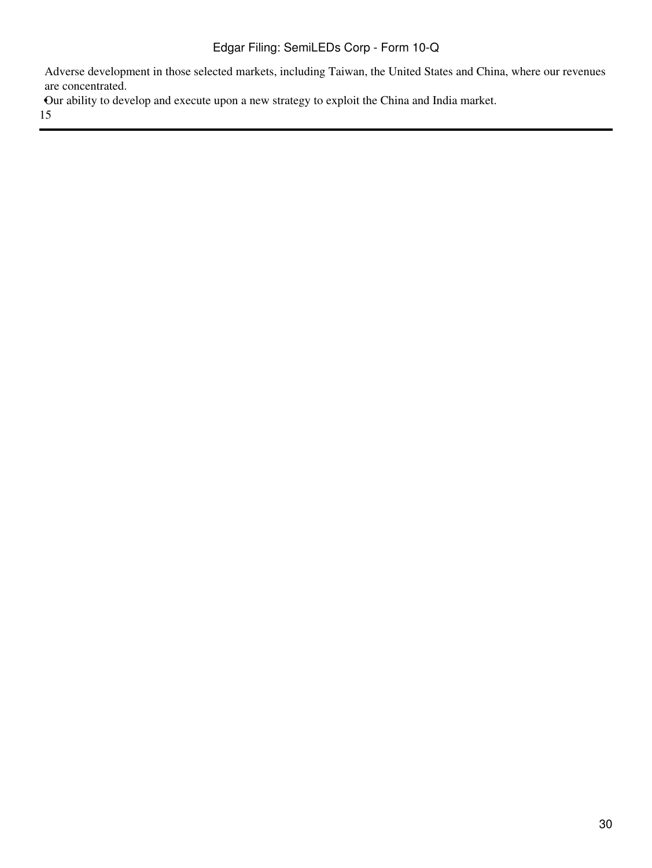Adverse development in those selected markets, including Taiwan, the United States and China, where our revenues are concentrated.

•Our ability to develop and execute upon a new strategy to exploit the China and India market.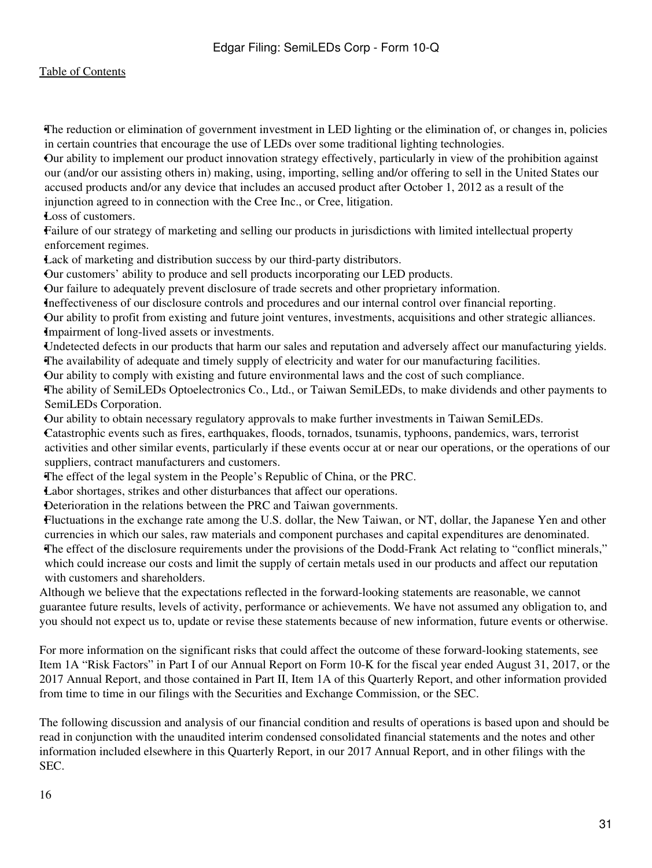•The reduction or elimination of government investment in LED lighting or the elimination of, or changes in, policies in certain countries that encourage the use of LEDs over some traditional lighting technologies.

•Our ability to implement our product innovation strategy effectively, particularly in view of the prohibition against our (and/or our assisting others in) making, using, importing, selling and/or offering to sell in the United States our accused products and/or any device that includes an accused product after October 1, 2012 as a result of the injunction agreed to in connection with the Cree Inc., or Cree, litigation.

•Loss of customers.

•Failure of our strategy of marketing and selling our products in jurisdictions with limited intellectual property enforcement regimes.

•Lack of marketing and distribution success by our third-party distributors.

•Our customers' ability to produce and sell products incorporating our LED products.

•Our failure to adequately prevent disclosure of trade secrets and other proprietary information.

•Ineffectiveness of our disclosure controls and procedures and our internal control over financial reporting. •Our ability to profit from existing and future joint ventures, investments, acquisitions and other strategic alliances.

•Impairment of long-lived assets or investments.

•Undetected defects in our products that harm our sales and reputation and adversely affect our manufacturing yields. •The availability of adequate and timely supply of electricity and water for our manufacturing facilities.

•Our ability to comply with existing and future environmental laws and the cost of such compliance.

•The ability of SemiLEDs Optoelectronics Co., Ltd., or Taiwan SemiLEDs, to make dividends and other payments to SemiLEDs Corporation.

•Our ability to obtain necessary regulatory approvals to make further investments in Taiwan SemiLEDs.

•Catastrophic events such as fires, earthquakes, floods, tornados, tsunamis, typhoons, pandemics, wars, terrorist activities and other similar events, particularly if these events occur at or near our operations, or the operations of our suppliers, contract manufacturers and customers.

•The effect of the legal system in the People's Republic of China, or the PRC.

Labor shortages, strikes and other disturbances that affect our operations.

•Deterioration in the relations between the PRC and Taiwan governments.

•Fluctuations in the exchange rate among the U.S. dollar, the New Taiwan, or NT, dollar, the Japanese Yen and other currencies in which our sales, raw materials and component purchases and capital expenditures are denominated. •The effect of the disclosure requirements under the provisions of the Dodd-Frank Act relating to "conflict minerals," which could increase our costs and limit the supply of certain metals used in our products and affect our reputation with customers and shareholders.

Although we believe that the expectations reflected in the forward-looking statements are reasonable, we cannot guarantee future results, levels of activity, performance or achievements. We have not assumed any obligation to, and you should not expect us to, update or revise these statements because of new information, future events or otherwise.

For more information on the significant risks that could affect the outcome of these forward-looking statements, see Item 1A "Risk Factors" in Part I of our Annual Report on Form 10-K for the fiscal year ended August 31, 2017, or the 2017 Annual Report, and those contained in Part II, Item 1A of this Quarterly Report, and other information provided from time to time in our filings with the Securities and Exchange Commission, or the SEC.

The following discussion and analysis of our financial condition and results of operations is based upon and should be read in conjunction with the unaudited interim condensed consolidated financial statements and the notes and other information included elsewhere in this Quarterly Report, in our 2017 Annual Report, and in other filings with the SEC.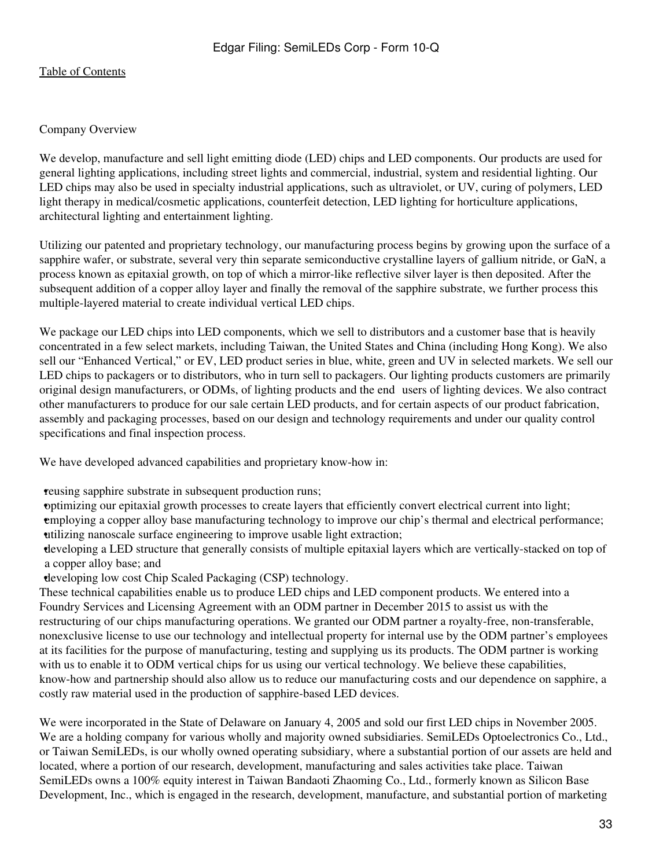### Company Overview

We develop, manufacture and sell light emitting diode (LED) chips and LED components. Our products are used for general lighting applications, including street lights and commercial, industrial, system and residential lighting. Our LED chips may also be used in specialty industrial applications, such as ultraviolet, or UV, curing of polymers, LED light therapy in medical/cosmetic applications, counterfeit detection, LED lighting for horticulture applications, architectural lighting and entertainment lighting.

Utilizing our patented and proprietary technology, our manufacturing process begins by growing upon the surface of a sapphire wafer, or substrate, several very thin separate semiconductive crystalline layers of gallium nitride, or GaN, a process known as epitaxial growth, on top of which a mirror-like reflective silver layer is then deposited. After the subsequent addition of a copper alloy layer and finally the removal of the sapphire substrate, we further process this multiple-layered material to create individual vertical LED chips.

We package our LED chips into LED components, which we sell to distributors and a customer base that is heavily concentrated in a few select markets, including Taiwan, the United States and China (including Hong Kong). We also sell our "Enhanced Vertical," or EV, LED product series in blue, white, green and UV in selected markets. We sell our LED chips to packagers or to distributors, who in turn sell to packagers. Our lighting products customers are primarily original design manufacturers, or ODMs, of lighting products and the end‑users of lighting devices. We also contract other manufacturers to produce for our sale certain LED products, and for certain aspects of our product fabrication, assembly and packaging processes, based on our design and technology requirements and under our quality control specifications and final inspection process.

We have developed advanced capabilities and proprietary know-how in:

•reusing sapphire substrate in subsequent production runs;

•optimizing our epitaxial growth processes to create layers that efficiently convert electrical current into light; •employing a copper alloy base manufacturing technology to improve our chip's thermal and electrical performance; •utilizing nanoscale surface engineering to improve usable light extraction;

•developing a LED structure that generally consists of multiple epitaxial layers which are vertically-stacked on top of a copper alloy base; and

•developing low cost Chip Scaled Packaging (CSP) technology.

These technical capabilities enable us to produce LED chips and LED component products. We entered into a Foundry Services and Licensing Agreement with an ODM partner in December 2015 to assist us with the restructuring of our chips manufacturing operations. We granted our ODM partner a royalty-free, non-transferable, nonexclusive license to use our technology and intellectual property for internal use by the ODM partner's employees at its facilities for the purpose of manufacturing, testing and supplying us its products. The ODM partner is working with us to enable it to ODM vertical chips for us using our vertical technology. We believe these capabilities, know-how and partnership should also allow us to reduce our manufacturing costs and our dependence on sapphire, a costly raw material used in the production of sapphire-based LED devices.

We were incorporated in the State of Delaware on January 4, 2005 and sold our first LED chips in November 2005. We are a holding company for various wholly and majority owned subsidiaries. SemiLEDs Optoelectronics Co., Ltd., or Taiwan SemiLEDs, is our wholly owned operating subsidiary, where a substantial portion of our assets are held and located, where a portion of our research, development, manufacturing and sales activities take place. Taiwan SemiLEDs owns a 100% equity interest in Taiwan Bandaoti Zhaoming Co., Ltd., formerly known as Silicon Base Development, Inc., which is engaged in the research, development, manufacture, and substantial portion of marketing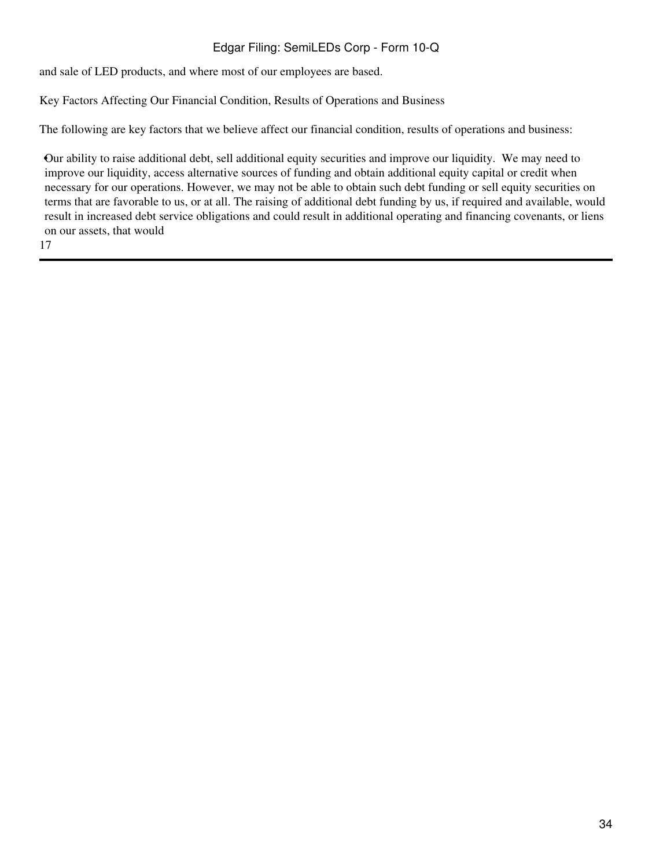and sale of LED products, and where most of our employees are based.

Key Factors Affecting Our Financial Condition, Results of Operations and Business

The following are key factors that we believe affect our financial condition, results of operations and business:

•Our ability to raise additional debt, sell additional equity securities and improve our liquidity. We may need to improve our liquidity, access alternative sources of funding and obtain additional equity capital or credit when necessary for our operations. However, we may not be able to obtain such debt funding or sell equity securities on terms that are favorable to us, or at all. The raising of additional debt funding by us, if required and available, would result in increased debt service obligations and could result in additional operating and financing covenants, or liens on our assets, that would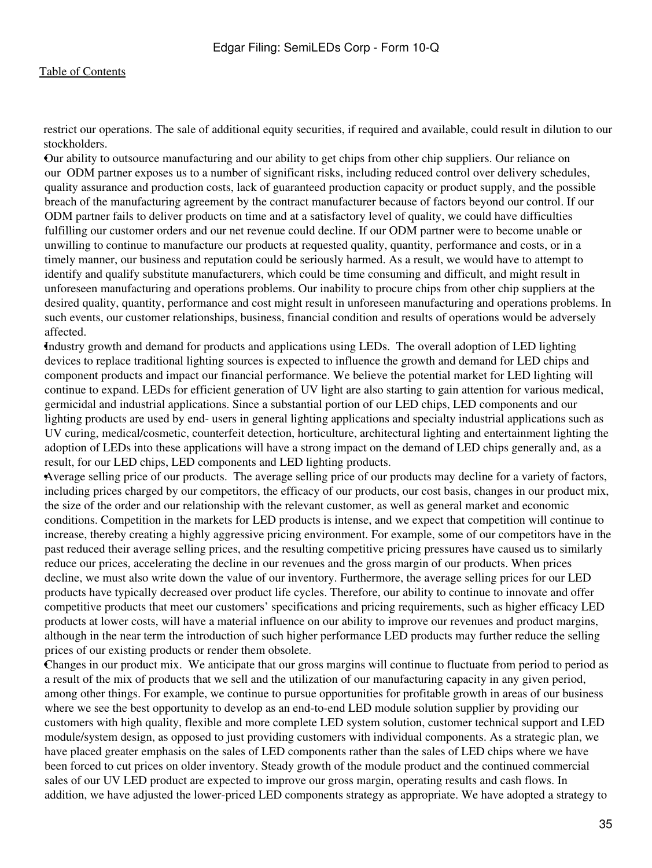restrict our operations. The sale of additional equity securities, if required and available, could result in dilution to our stockholders.

•Our ability to outsource manufacturing and our ability to get chips from other chip suppliers. Our reliance on our ODM partner exposes us to a number of significant risks, including reduced control over delivery schedules, quality assurance and production costs, lack of guaranteed production capacity or product supply, and the possible breach of the manufacturing agreement by the contract manufacturer because of factors beyond our control. If our ODM partner fails to deliver products on time and at a satisfactory level of quality, we could have difficulties fulfilling our customer orders and our net revenue could decline. If our ODM partner were to become unable or unwilling to continue to manufacture our products at requested quality, quantity, performance and costs, or in a timely manner, our business and reputation could be seriously harmed. As a result, we would have to attempt to identify and qualify substitute manufacturers, which could be time consuming and difficult, and might result in unforeseen manufacturing and operations problems. Our inability to procure chips from other chip suppliers at the desired quality, quantity, performance and cost might result in unforeseen manufacturing and operations problems. In such events, our customer relationships, business, financial condition and results of operations would be adversely affected.

•Industry growth and demand for products and applications using LEDs. The overall adoption of LED lighting devices to replace traditional lighting sources is expected to influence the growth and demand for LED chips and component products and impact our financial performance. We believe the potential market for LED lighting will continue to expand. LEDs for efficient generation of UV light are also starting to gain attention for various medical, germicidal and industrial applications. Since a substantial portion of our LED chips, LED components and our lighting products are used by end- users in general lighting applications and specialty industrial applications such as UV curing, medical/cosmetic, counterfeit detection, horticulture, architectural lighting and entertainment lighting the adoption of LEDs into these applications will have a strong impact on the demand of LED chips generally and, as a result, for our LED chips, LED components and LED lighting products.

•Average selling price of our products. The average selling price of our products may decline for a variety of factors, including prices charged by our competitors, the efficacy of our products, our cost basis, changes in our product mix, the size of the order and our relationship with the relevant customer, as well as general market and economic conditions. Competition in the markets for LED products is intense, and we expect that competition will continue to increase, thereby creating a highly aggressive pricing environment. For example, some of our competitors have in the past reduced their average selling prices, and the resulting competitive pricing pressures have caused us to similarly reduce our prices, accelerating the decline in our revenues and the gross margin of our products. When prices decline, we must also write down the value of our inventory. Furthermore, the average selling prices for our LED products have typically decreased over product life cycles. Therefore, our ability to continue to innovate and offer competitive products that meet our customers' specifications and pricing requirements, such as higher efficacy LED products at lower costs, will have a material influence on our ability to improve our revenues and product margins, although in the near term the introduction of such higher performance LED products may further reduce the selling prices of our existing products or render them obsolete.

•Changes in our product mix. We anticipate that our gross margins will continue to fluctuate from period to period as a result of the mix of products that we sell and the utilization of our manufacturing capacity in any given period, among other things. For example, we continue to pursue opportunities for profitable growth in areas of our business where we see the best opportunity to develop as an end-to-end LED module solution supplier by providing our customers with high quality, flexible and more complete LED system solution, customer technical support and LED module/system design, as opposed to just providing customers with individual components. As a strategic plan, we have placed greater emphasis on the sales of LED components rather than the sales of LED chips where we have been forced to cut prices on older inventory. Steady growth of the module product and the continued commercial sales of our UV LED product are expected to improve our gross margin, operating results and cash flows. In addition, we have adjusted the lower-priced LED components strategy as appropriate. We have adopted a strategy to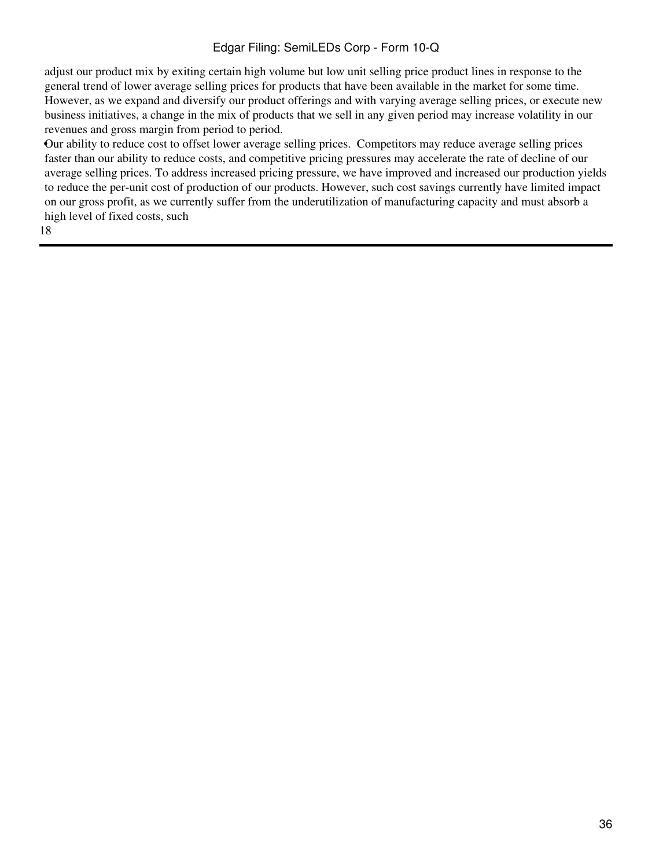adjust our product mix by exiting certain high volume but low unit selling price product lines in response to the general trend of lower average selling prices for products that have been available in the market for some time. However, as we expand and diversify our product offerings and with varying average selling prices, or execute new business initiatives, a change in the mix of products that we sell in any given period may increase volatility in our revenues and gross margin from period to period.

•Our ability to reduce cost to offset lower average selling prices. Competitors may reduce average selling prices faster than our ability to reduce costs, and competitive pricing pressures may accelerate the rate of decline of our average selling prices. To address increased pricing pressure, we have improved and increased our production yields to reduce the per-unit cost of production of our products. However, such cost savings currently have limited impact on our gross profit, as we currently suffer from the underutilization of manufacturing capacity and must absorb a high level of fixed costs, such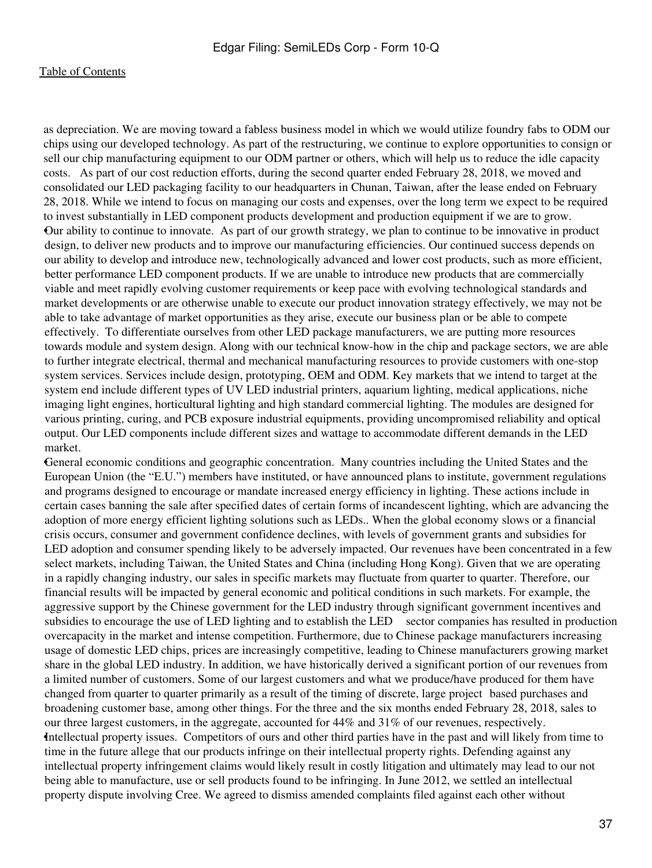as depreciation. We are moving toward a fabless business model in which we would utilize foundry fabs to ODM our chips using our developed technology. As part of the restructuring, we continue to explore opportunities to consign or sell our chip manufacturing equipment to our ODM partner or others, which will help us to reduce the idle capacity costs. As part of our cost reduction efforts, during the second quarter ended February 28, 2018, we moved and consolidated our LED packaging facility to our headquarters in Chunan, Taiwan, after the lease ended on February 28, 2018. While we intend to focus on managing our costs and expenses, over the long term we expect to be required to invest substantially in LED component products development and production equipment if we are to grow. •Our ability to continue to innovate. As part of our growth strategy, we plan to continue to be innovative in product design, to deliver new products and to improve our manufacturing efficiencies. Our continued success depends on our ability to develop and introduce new, technologically advanced and lower cost products, such as more efficient, better performance LED component products. If we are unable to introduce new products that are commercially viable and meet rapidly evolving customer requirements or keep pace with evolving technological standards and market developments or are otherwise unable to execute our product innovation strategy effectively, we may not be able to take advantage of market opportunities as they arise, execute our business plan or be able to compete effectively. To differentiate ourselves from other LED package manufacturers, we are putting more resources towards module and system design. Along with our technical know-how in the chip and package sectors, we are able to further integrate electrical, thermal and mechanical manufacturing resources to provide customers with one-stop system services. Services include design, prototyping, OEM and ODM. Key markets that we intend to target at the system end include different types of UV LED industrial printers, aquarium lighting, medical applications, niche imaging light engines, horticultural lighting and high standard commercial lighting. The modules are designed for various printing, curing, and PCB exposure industrial equipments, providing uncompromised reliability and optical output. Our LED components include different sizes and wattage to accommodate different demands in the LED market.

•General economic conditions and geographic concentration. Many countries including the United States and the European Union (the "E.U.") members have instituted, or have announced plans to institute, government regulations and programs designed to encourage or mandate increased energy efficiency in lighting. These actions include in certain cases banning the sale after specified dates of certain forms of incandescent lighting, which are advancing the adoption of more energy efficient lighting solutions such as LEDs.. When the global economy slows or a financial crisis occurs, consumer and government confidence declines, with levels of government grants and subsidies for LED adoption and consumer spending likely to be adversely impacted. Our revenues have been concentrated in a few select markets, including Taiwan, the United States and China (including Hong Kong). Given that we are operating in a rapidly changing industry, our sales in specific markets may fluctuate from quarter to quarter. Therefore, our financial results will be impacted by general economic and political conditions in such markets. For example, the aggressive support by the Chinese government for the LED industry through significant government incentives and subsidies to encourage the use of LED lighting and to establish the LED sector companies has resulted in production overcapacity in the market and intense competition. Furthermore, due to Chinese package manufacturers increasing usage of domestic LED chips, prices are increasingly competitive, leading to Chinese manufacturers growing market share in the global LED industry. In addition, we have historically derived a significant portion of our revenues from a limited number of customers. Some of our largest customers and what we produce/have produced for them have changed from quarter to quarter primarily as a result of the timing of discrete, large project based purchases and broadening customer base, among other things. For the three and the six months ended February 28, 2018, sales to our three largest customers, in the aggregate, accounted for 44% and 31% of our revenues, respectively. •Intellectual property issues. Competitors of ours and other third parties have in the past and will likely from time to time in the future allege that our products infringe on their intellectual property rights. Defending against any intellectual property infringement claims would likely result in costly litigation and ultimately may lead to our not being able to manufacture, use or sell products found to be infringing. In June 2012, we settled an intellectual property dispute involving Cree. We agreed to dismiss amended complaints filed against each other without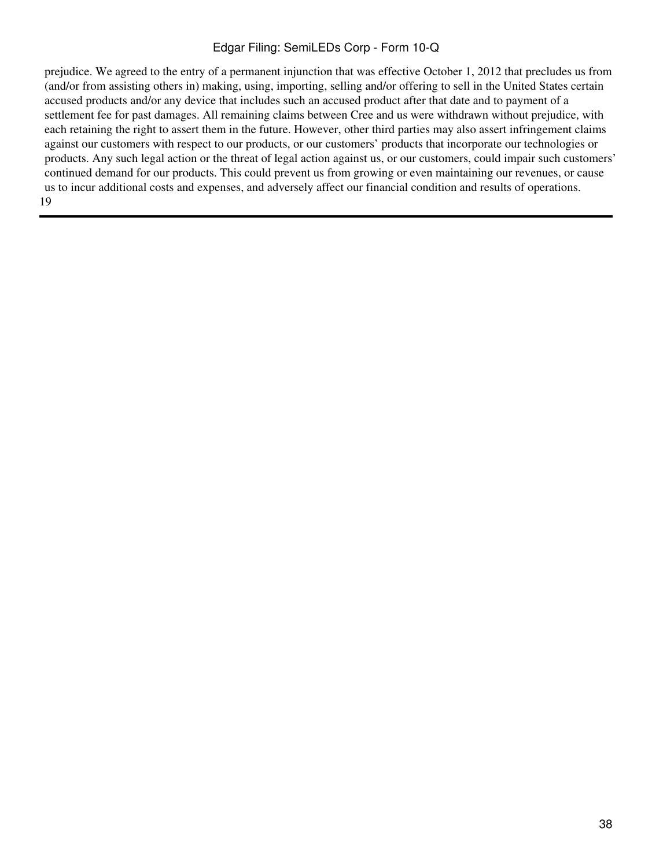prejudice. We agreed to the entry of a permanent injunction that was effective October 1, 2012 that precludes us from (and/or from assisting others in) making, using, importing, selling and/or offering to sell in the United States certain accused products and/or any device that includes such an accused product after that date and to payment of a settlement fee for past damages. All remaining claims between Cree and us were withdrawn without prejudice, with each retaining the right to assert them in the future. However, other third parties may also assert infringement claims against our customers with respect to our products, or our customers' products that incorporate our technologies or products. Any such legal action or the threat of legal action against us, or our customers, could impair such customers' continued demand for our products. This could prevent us from growing or even maintaining our revenues, or cause us to incur additional costs and expenses, and adversely affect our financial condition and results of operations. 19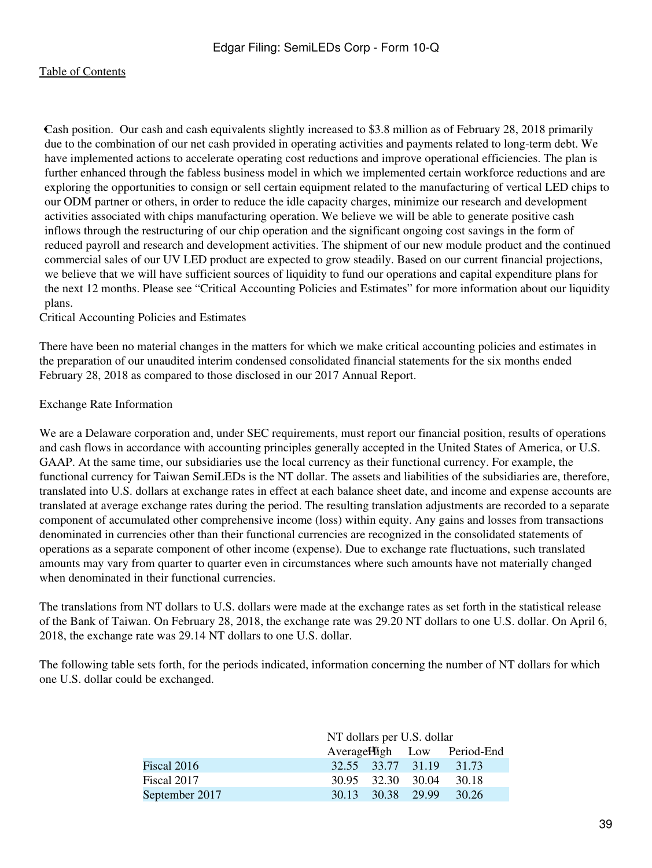•Cash position. Our cash and cash equivalents slightly increased to \$3.8 million as of February 28, 2018 primarily due to the combination of our net cash provided in operating activities and payments related to long-term debt. We have implemented actions to accelerate operating cost reductions and improve operational efficiencies. The plan is further enhanced through the fabless business model in which we implemented certain workforce reductions and are exploring the opportunities to consign or sell certain equipment related to the manufacturing of vertical LED chips to our ODM partner or others, in order to reduce the idle capacity charges, minimize our research and development activities associated with chips manufacturing operation. We believe we will be able to generate positive cash inflows through the restructuring of our chip operation and the significant ongoing cost savings in the form of reduced payroll and research and development activities. The shipment of our new module product and the continued commercial sales of our UV LED product are expected to grow steadily. Based on our current financial projections, we believe that we will have sufficient sources of liquidity to fund our operations and capital expenditure plans for the next 12 months. Please see "Critical Accounting Policies and Estimates" for more information about our liquidity plans.

Critical Accounting Policies and Estimates

There have been no material changes in the matters for which we make critical accounting policies and estimates in the preparation of our unaudited interim condensed consolidated financial statements for the six months ended February 28, 2018 as compared to those disclosed in our 2017 Annual Report.

#### Exchange Rate Information

We are a Delaware corporation and, under SEC requirements, must report our financial position, results of operations and cash flows in accordance with accounting principles generally accepted in the United States of America, or U.S. GAAP. At the same time, our subsidiaries use the local currency as their functional currency. For example, the functional currency for Taiwan SemiLEDs is the NT dollar. The assets and liabilities of the subsidiaries are, therefore, translated into U.S. dollars at exchange rates in effect at each balance sheet date, and income and expense accounts are translated at average exchange rates during the period. The resulting translation adjustments are recorded to a separate component of accumulated other comprehensive income (loss) within equity. Any gains and losses from transactions denominated in currencies other than their functional currencies are recognized in the consolidated statements of operations as a separate component of other income (expense). Due to exchange rate fluctuations, such translated amounts may vary from quarter to quarter even in circumstances where such amounts have not materially changed when denominated in their functional currencies.

The translations from NT dollars to U.S. dollars were made at the exchange rates as set forth in the statistical release of the Bank of Taiwan. On February 28, 2018, the exchange rate was 29.20 NT dollars to one U.S. dollar. On April 6, 2018, the exchange rate was 29.14 NT dollars to one U.S. dollar.

The following table sets forth, for the periods indicated, information concerning the number of NT dollars for which one U.S. dollar could be exchanged.

|                | NT dollars per U.S. dollar |  |                   |                             |  |  |  |  |  |
|----------------|----------------------------|--|-------------------|-----------------------------|--|--|--|--|--|
|                |                            |  |                   | Average High Low Period-End |  |  |  |  |  |
| Fiscal 2016    |                            |  |                   | 32.55 33.77 31.19 31.73     |  |  |  |  |  |
| Fiscal 2017    |                            |  | 30.95 32.30 30.04 | 30.18                       |  |  |  |  |  |
| September 2017 |                            |  | 30.13 30.38 29.99 | 30.26                       |  |  |  |  |  |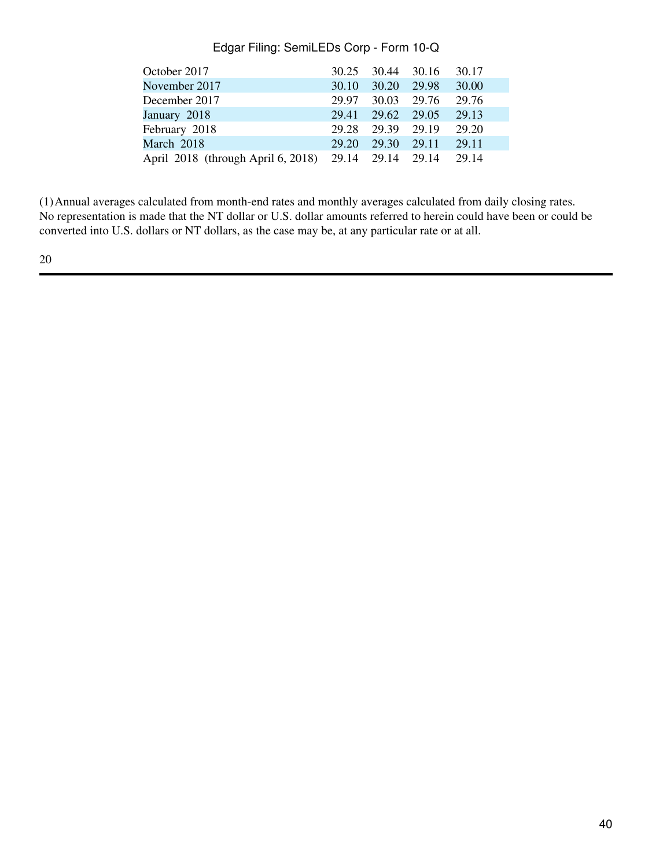| October 2017                       | 30.25 | 30.44 | 30.16 | 30.17 |
|------------------------------------|-------|-------|-------|-------|
| November 2017                      | 30.10 | 30.20 | 29.98 | 30.00 |
| December 2017                      | 29.97 | 30.03 | 29.76 | 29.76 |
| January 2018                       | 29.41 | 29.62 | 29.05 | 29.13 |
| February 2018                      | 29.28 | 29.39 | 29.19 | 29.20 |
| March 2018                         | 29.20 | 29.30 | 29.11 | 29.11 |
| April 2018 (through April 6, 2018) | 29.14 | 29.14 | 29.14 | 29.14 |

(1)Annual averages calculated from month-end rates and monthly averages calculated from daily closing rates. No representation is made that the NT dollar or U.S. dollar amounts referred to herein could have been or could be converted into U.S. dollars or NT dollars, as the case may be, at any particular rate or at all.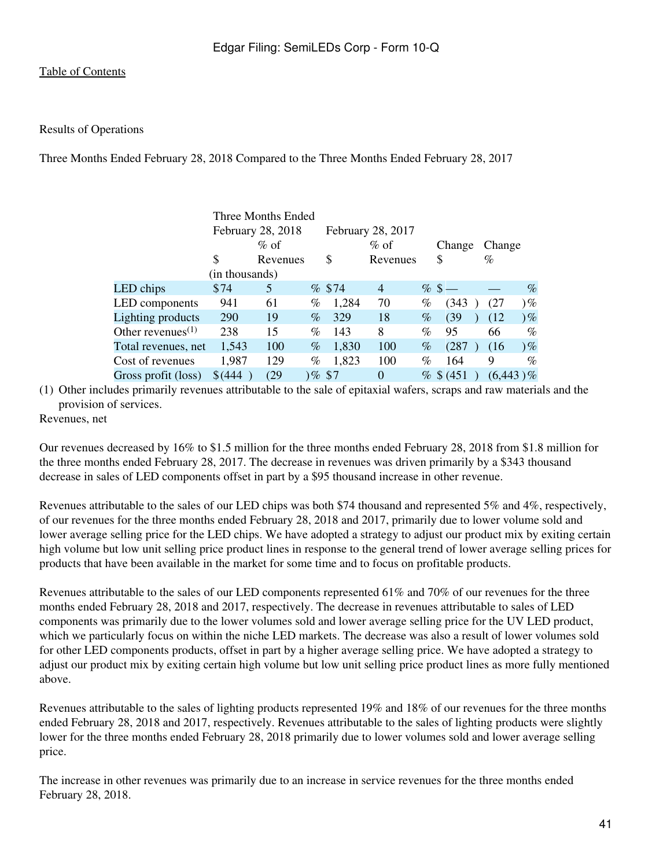#### Results of Operations

Three Months Ended February 28, 2018 Compared to the Three Months Ended February 28, 2017

|                                            |                | Three Months Ended |      |           |                   |      |              |             |       |
|--------------------------------------------|----------------|--------------------|------|-----------|-------------------|------|--------------|-------------|-------|
|                                            |                | February 28, 2018  |      |           | February 28, 2017 |      |              |             |       |
|                                            |                | $\%$ of            |      |           | $\%$ of           |      | Change       | Change      |       |
|                                            | \$             | Revenues           |      | \$        | Revenues          |      | \$           | $\%$        |       |
|                                            | (in thousands) |                    |      |           |                   |      |              |             |       |
| LED chips                                  | \$74           | 5                  |      | % \$74    | $\overline{4}$    |      | $% \$ —      |             | $\%$  |
| LED components                             | 941            | 61                 | %    | 1,284     | 70                | %    | (343)        | (27)        | 9%    |
| Lighting products                          | 290            | 19                 | $\%$ | 329       | 18                | $\%$ | (39)         | (12)        | 9%    |
| Other revenues <sup><math>(1)</math></sup> | 238            | 15                 | $\%$ | 143       | 8                 | $\%$ | 95           | 66          | %     |
| Total revenues, net                        | 1,543          | 100                | $\%$ | 1,830     | 100               | $\%$ | (287)        | (16)        | $)\%$ |
| Cost of revenues                           | 1,987          | 129                | %    | 1,823     | 100               | $\%$ | 164          | 9           | $\%$  |
| Gross profit (loss)                        | \$ (444)       | (29)               |      | $)\%$ \$7 | $\Omega$          |      | $%$ \$ (451) | $(6,443)\%$ |       |
|                                            |                |                    |      |           |                   |      |              |             |       |

(1) Other includes primarily revenues attributable to the sale of epitaxial wafers, scraps and raw materials and the provision of services.

Revenues, net

Our revenues decreased by 16% to \$1.5 million for the three months ended February 28, 2018 from \$1.8 million for the three months ended February 28, 2017. The decrease in revenues was driven primarily by a \$343 thousand decrease in sales of LED components offset in part by a \$95 thousand increase in other revenue.

Revenues attributable to the sales of our LED chips was both \$74 thousand and represented 5% and 4%, respectively, of our revenues for the three months ended February 28, 2018 and 2017, primarily due to lower volume sold and lower average selling price for the LED chips. We have adopted a strategy to adjust our product mix by exiting certain high volume but low unit selling price product lines in response to the general trend of lower average selling prices for products that have been available in the market for some time and to focus on profitable products.

Revenues attributable to the sales of our LED components represented 61% and 70% of our revenues for the three months ended February 28, 2018 and 2017, respectively. The decrease in revenues attributable to sales of LED components was primarily due to the lower volumes sold and lower average selling price for the UV LED product, which we particularly focus on within the niche LED markets. The decrease was also a result of lower volumes sold for other LED components products, offset in part by a higher average selling price. We have adopted a strategy to adjust our product mix by exiting certain high volume but low unit selling price product lines as more fully mentioned above.

Revenues attributable to the sales of lighting products represented 19% and 18% of our revenues for the three months ended February 28, 2018 and 2017, respectively. Revenues attributable to the sales of lighting products were slightly lower for the three months ended February 28, 2018 primarily due to lower volumes sold and lower average selling price.

The increase in other revenues was primarily due to an increase in service revenues for the three months ended February 28, 2018.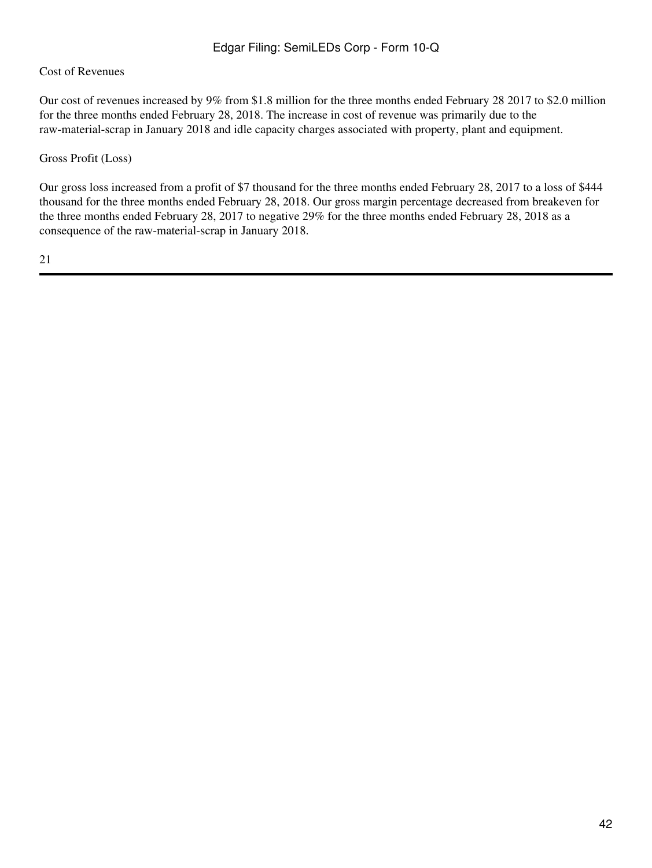## Cost of Revenues

Our cost of revenues increased by 9% from \$1.8 million for the three months ended February 28 2017 to \$2.0 million for the three months ended February 28, 2018. The increase in cost of revenue was primarily due to the raw-material-scrap in January 2018 and idle capacity charges associated with property, plant and equipment.

#### Gross Profit (Loss)

Our gross loss increased from a profit of \$7 thousand for the three months ended February 28, 2017 to a loss of \$444 thousand for the three months ended February 28, 2018. Our gross margin percentage decreased from breakeven for the three months ended February 28, 2017 to negative 29% for the three months ended February 28, 2018 as a consequence of the raw-material-scrap in January 2018.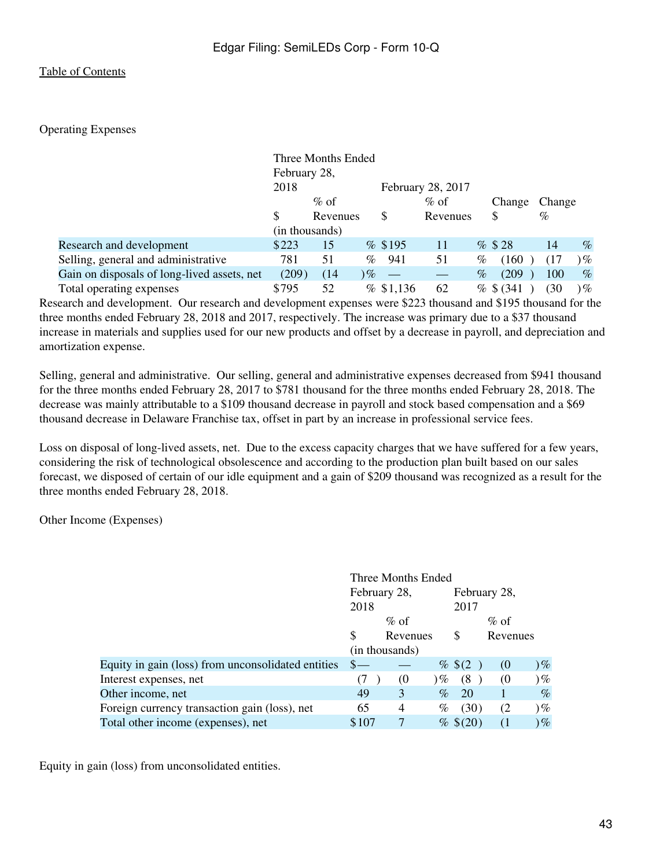### Operating Expenses

|                                             |                | Three Months Ended |             |                   |      |              |        |                 |
|---------------------------------------------|----------------|--------------------|-------------|-------------------|------|--------------|--------|-----------------|
|                                             | February 28,   |                    |             |                   |      |              |        |                 |
|                                             | 2018           |                    |             | February 28, 2017 |      |              |        |                 |
|                                             |                | $\%$ of            |             | $\%$ of           |      | Change       | Change |                 |
|                                             | \$.            | Revenues           | S           | Revenues          |      | \$           | $\%$   |                 |
|                                             | (in thousands) |                    |             |                   |      |              |        |                 |
| Research and development                    | \$223          | 15                 | % \$195     | 11                |      | $%$ \$28     | 14     | $\%$            |
| Selling, general and administrative         | 781            | 51                 | 941<br>$\%$ | 51                | %    | (160)        |        | $\mathcal{V}_o$ |
| Gain on disposals of long-lived assets, net | (209)          | (14)               | $\%$        |                   | $\%$ | (209)        | 100    | $\%$            |
| Total operating expenses                    | \$795          | 52                 | % \$1,136   | 62                |      | $%$ \$ (341) | (30)   | $\mathcal{V}_o$ |

Research and development. Our research and development expenses were \$223 thousand and \$195 thousand for the three months ended February 28, 2018 and 2017, respectively. The increase was primary due to a \$37 thousand increase in materials and supplies used for our new products and offset by a decrease in payroll, and depreciation and amortization expense.

Selling, general and administrative. Our selling, general and administrative expenses decreased from \$941 thousand for the three months ended February 28, 2017 to \$781 thousand for the three months ended February 28, 2018. The decrease was mainly attributable to a \$109 thousand decrease in payroll and stock based compensation and a \$69 thousand decrease in Delaware Franchise tax, offset in part by an increase in professional service fees.

Loss on disposal of long-lived assets, net. Due to the excess capacity charges that we have suffered for a few years, considering the risk of technological obsolescence and according to the production plan built based on our sales forecast, we disposed of certain of our idle equipment and a gain of \$209 thousand was recognized as a result for the three months ended February 28, 2018.

Other Income (Expenses)

|                                                    | Three Months Ended |                |            |              |          |        |  |  |
|----------------------------------------------------|--------------------|----------------|------------|--------------|----------|--------|--|--|
|                                                    | February 28,       |                |            | February 28, |          |        |  |  |
|                                                    | 2018               |                |            | 2017         |          |        |  |  |
|                                                    | $\%$ of            |                |            | $\%$ of      |          |        |  |  |
|                                                    | \$                 | Revenues       |            | S            | Revenues |        |  |  |
|                                                    |                    | (in thousands) |            |              |          |        |  |  |
| Equity in gain (loss) from unconsolidated entities |                    |                |            | % \$ (2)     | $\omega$ | $)\%$  |  |  |
| Interest expenses, net                             | (7                 | (0)            | $\partial$ | (8)          | (0)      | $)\%$  |  |  |
| Other income, net                                  | 49                 | 3              | $\%$       | 20           |          | $\%$   |  |  |
| Foreign currency transaction gain (loss), net      | 65                 | 4              | $\%$       | (30)         | (2)      | ) $\%$ |  |  |
| Total other income (expenses), net                 | \$107              |                |            | % \$ (20)    |          | ) $\%$ |  |  |

Equity in gain (loss) from unconsolidated entities.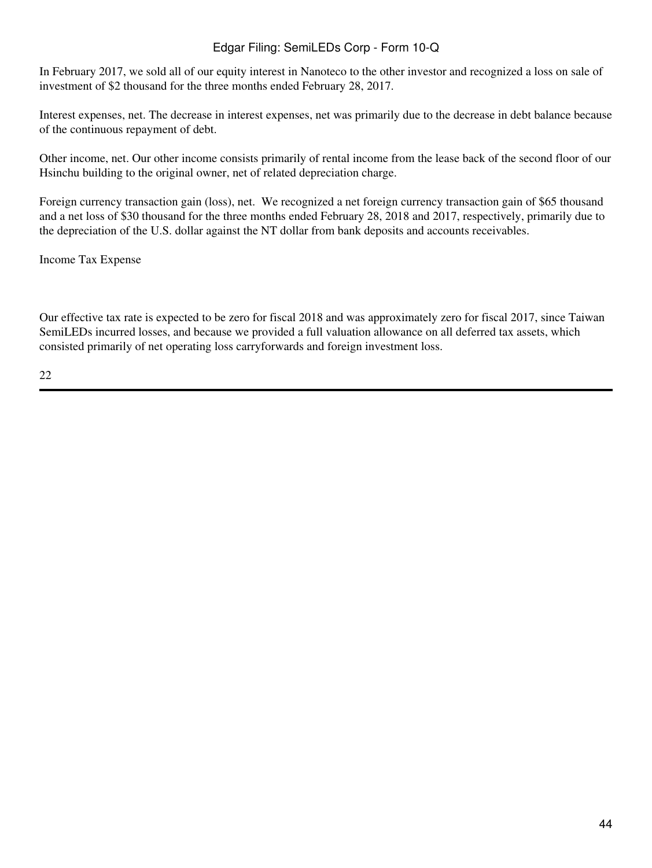In February 2017, we sold all of our equity interest in Nanoteco to the other investor and recognized a loss on sale of investment of \$2 thousand for the three months ended February 28, 2017.

Interest expenses, net. The decrease in interest expenses, net was primarily due to the decrease in debt balance because of the continuous repayment of debt.

Other income, net. Our other income consists primarily of rental income from the lease back of the second floor of our Hsinchu building to the original owner, net of related depreciation charge.

Foreign currency transaction gain (loss), net. We recognized a net foreign currency transaction gain of \$65 thousand and a net loss of \$30 thousand for the three months ended February 28, 2018 and 2017, respectively, primarily due to the depreciation of the U.S. dollar against the NT dollar from bank deposits and accounts receivables.

Income Tax Expense

Our effective tax rate is expected to be zero for fiscal 2018 and was approximately zero for fiscal 2017, since Taiwan SemiLEDs incurred losses, and because we provided a full valuation allowance on all deferred tax assets, which consisted primarily of net operating loss carryforwards and foreign investment loss.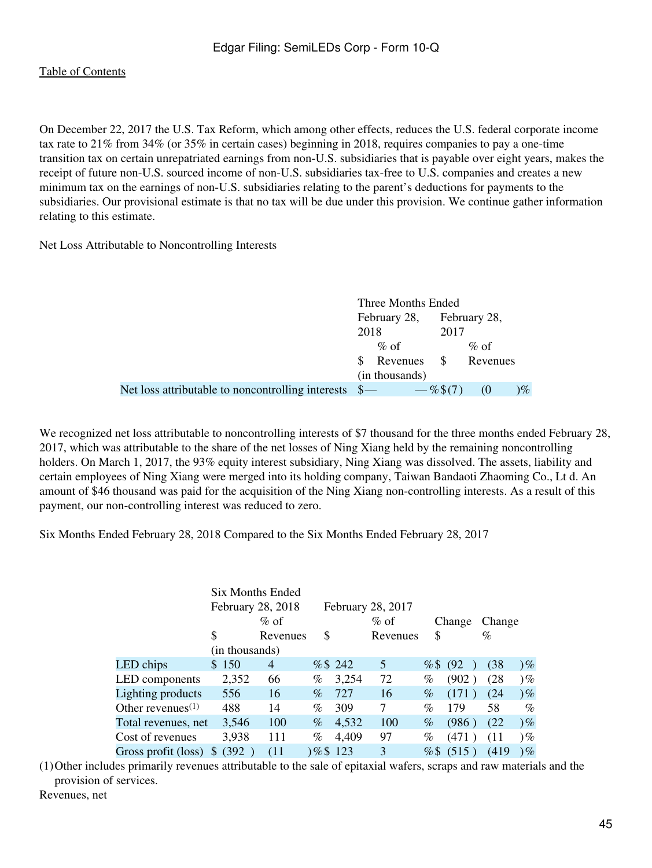On December 22, 2017 the U.S. Tax Reform, which among other effects, reduces the U.S. federal corporate income tax rate to 21% from 34% (or 35% in certain cases) beginning in 2018, requires companies to pay a one-time transition tax on certain unrepatriated earnings from non-U.S. subsidiaries that is payable over eight years, makes the receipt of future non-U.S. sourced income of non-U.S. subsidiaries tax-free to U.S. companies and creates a new minimum tax on the earnings of non-U.S. subsidiaries relating to the parent's deductions for payments to the subsidiaries. Our provisional estimate is that no tax will be due under this provision. We continue gather information relating to this estimate.

Net Loss Attributable to Noncontrolling Interests

|                                                             | Three Months Ended        |                      |           |          |        |
|-------------------------------------------------------------|---------------------------|----------------------|-----------|----------|--------|
|                                                             | February 28, February 28, |                      |           |          |        |
|                                                             | 2018                      |                      | 2017      |          |        |
|                                                             |                           | $\%$ of              |           | $\%$ of  |        |
|                                                             |                           | Revenues \$ Revenues |           |          |        |
|                                                             |                           | (in thousands)       |           |          |        |
| Net loss attributable to noncontrolling interests $\quad -$ |                           |                      | $-\%5(7)$ | $\omega$ | ) $\%$ |

We recognized net loss attributable to noncontrolling interests of \$7 thousand for the three months ended February 28, 2017, which was attributable to the share of the net losses of Ning Xiang held by the remaining noncontrolling holders. On March 1, 2017, the 93% equity interest subsidiary, Ning Xiang was dissolved. The assets, liability and certain employees of Ning Xiang were merged into its holding company, Taiwan Bandaoti Zhaoming Co., Lt d. An amount of \$46 thousand was paid for the acquisition of the Ning Xiang non-controlling interests. As a result of this payment, our non-controlling interest was reduced to zero.

Six Months Ended February 28, 2018 Compared to the Six Months Ended February 28, 2017

|                                            |                       | Six Months Ended  |         |         |                   |        |        |        |       |
|--------------------------------------------|-----------------------|-------------------|---------|---------|-------------------|--------|--------|--------|-------|
|                                            |                       | February 28, 2018 |         |         | February 28, 2017 |        |        |        |       |
|                                            |                       | $%$ of            |         |         | $%$ of            |        | Change | Change |       |
|                                            | \$                    | Revenues          | \$      |         | Revenues          | \$     |        | $\%$   |       |
|                                            | (in thousands)        |                   |         |         |                   |        |        |        |       |
| LED chips                                  | 150<br>S              | 4                 |         | % \$242 | 5                 | %      | (92)   | (38    | $)\%$ |
| LED components                             | 2,352                 | 66                | %       | 3,254   | 72                | %      | (902)  | (28)   | $)\%$ |
| Lighting products                          | 556                   | 16                | $\%$    | 727     | 16                | $\%$   | (171)  | (24)   | $)\%$ |
| Other revenues <sup><math>(1)</math></sup> | 488                   | 14                | $\%$    | 309     | 7                 | $\%$   | 179    | 58     | $\%$  |
| Total revenues, net                        | 3,546                 | 100               | $\%$    | 4,532   | 100               | $\%$   | (986)  | (22)   | $)\%$ |
| Cost of revenues                           | 3,938                 | 111               | %       | 4,409   | 97                | $\%$   | (471)  | (11)   | $)\%$ |
| Gross profit (loss)                        | (392)<br><sup>S</sup> | (11)              | 0%\$123 |         | 3                 | $%$ \$ | (515)  | (419)  | $)\%$ |

(1)Other includes primarily revenues attributable to the sale of epitaxial wafers, scraps and raw materials and the provision of services.

Revenues, net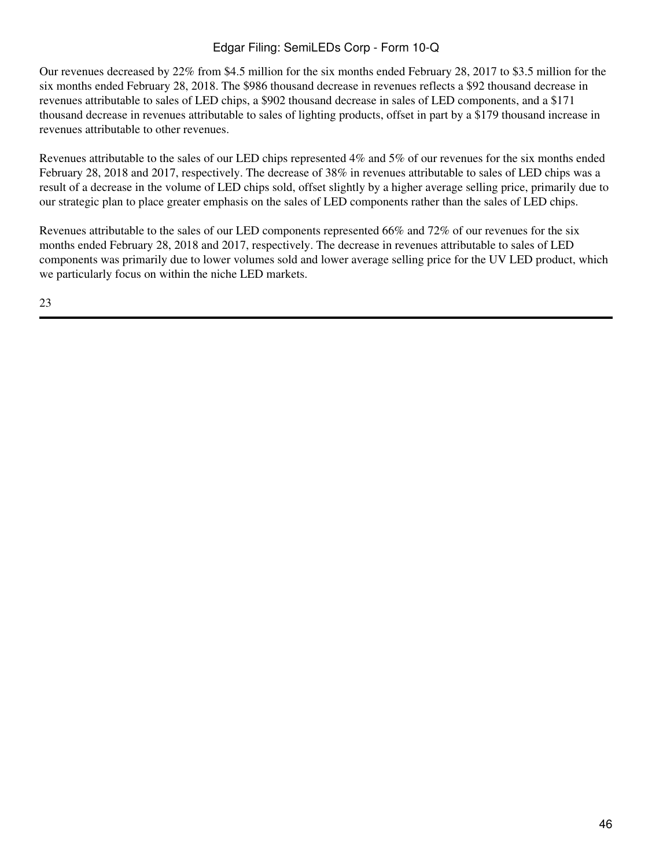Our revenues decreased by 22% from \$4.5 million for the six months ended February 28, 2017 to \$3.5 million for the six months ended February 28, 2018. The \$986 thousand decrease in revenues reflects a \$92 thousand decrease in revenues attributable to sales of LED chips, a \$902 thousand decrease in sales of LED components, and a \$171 thousand decrease in revenues attributable to sales of lighting products, offset in part by a \$179 thousand increase in revenues attributable to other revenues.

Revenues attributable to the sales of our LED chips represented 4% and 5% of our revenues for the six months ended February 28, 2018 and 2017, respectively. The decrease of 38% in revenues attributable to sales of LED chips was a result of a decrease in the volume of LED chips sold, offset slightly by a higher average selling price, primarily due to our strategic plan to place greater emphasis on the sales of LED components rather than the sales of LED chips.

Revenues attributable to the sales of our LED components represented 66% and 72% of our revenues for the six months ended February 28, 2018 and 2017, respectively. The decrease in revenues attributable to sales of LED components was primarily due to lower volumes sold and lower average selling price for the UV LED product, which we particularly focus on within the niche LED markets.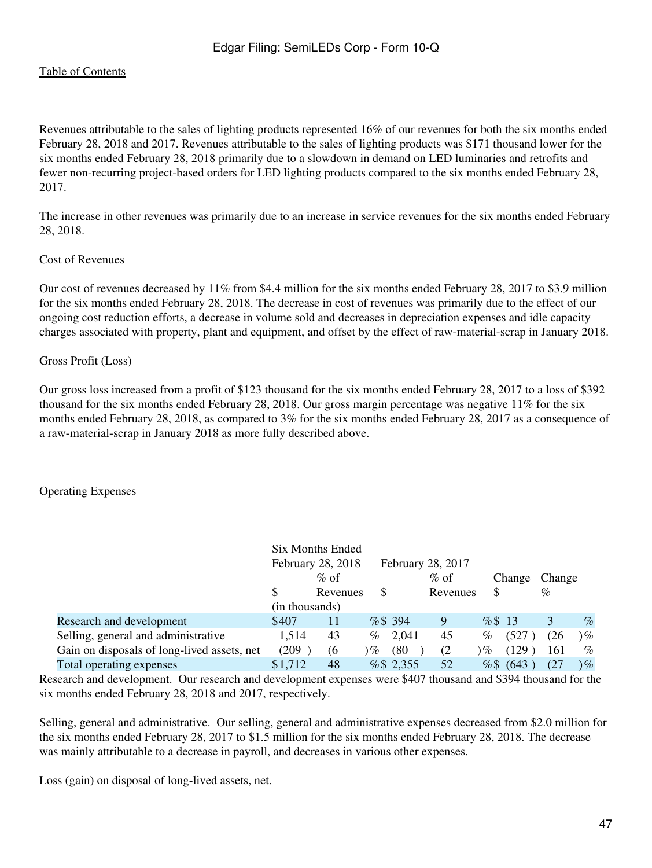Revenues attributable to the sales of lighting products represented 16% of our revenues for both the six months ended February 28, 2018 and 2017. Revenues attributable to the sales of lighting products was \$171 thousand lower for the six months ended February 28, 2018 primarily due to a slowdown in demand on LED luminaries and retrofits and fewer non-recurring project-based orders for LED lighting products compared to the six months ended February 28, 2017.

The increase in other revenues was primarily due to an increase in service revenues for the six months ended February 28, 2018.

#### Cost of Revenues

Our cost of revenues decreased by 11% from \$4.4 million for the six months ended February 28, 2017 to \$3.9 million for the six months ended February 28, 2018. The decrease in cost of revenues was primarily due to the effect of our ongoing cost reduction efforts, a decrease in volume sold and decreases in depreciation expenses and idle capacity charges associated with property, plant and equipment, and offset by the effect of raw-material-scrap in January 2018.

#### Gross Profit (Loss)

Our gross loss increased from a profit of \$123 thousand for the six months ended February 28, 2017 to a loss of \$392 thousand for the six months ended February 28, 2018. Our gross margin percentage was negative 11% for the six months ended February 28, 2018, as compared to 3% for the six months ended February 28, 2017 as a consequence of a raw-material-scrap in January 2018 as more fully described above.

## Operating Expenses

|                                             |                | Six Months Ended  |      |            |                   |        |             |        |        |
|---------------------------------------------|----------------|-------------------|------|------------|-------------------|--------|-------------|--------|--------|
|                                             |                | February 28, 2018 |      |            | February 28, 2017 |        |             |        |        |
|                                             |                | $%$ of            |      |            | $\%$ of           |        | Change      | Change |        |
|                                             | S              | Revenues          | S    |            | Revenues          | \$     |             | $\%$   |        |
|                                             | (in thousands) |                   |      |            |                   |        |             |        |        |
| Research and development                    | \$407          | 11                |      | $%$ \$ 394 | 9                 | % \$13 |             |        | $\%$   |
| Selling, general and administrative         | 1.514          | 43                | $\%$ | 2,041      | 45                | $\%$   | (527        | (26    | $)\%$  |
| Gain on disposals of long-lived assets, net | (209)          | (6)               | $\%$ | (80)       | (2)               | ) $\%$ | (129)       | 161    | $\%$   |
| Total operating expenses                    | \$1,712        | 48                |      | % \$2,355  | 52                |        | $%$ \$ (643 | (27    | ) $\%$ |

Research and development. Our research and development expenses were \$407 thousand and \$394 thousand for the six months ended February 28, 2018 and 2017, respectively.

Selling, general and administrative. Our selling, general and administrative expenses decreased from \$2.0 million for the six months ended February 28, 2017 to \$1.5 million for the six months ended February 28, 2018. The decrease was mainly attributable to a decrease in payroll, and decreases in various other expenses.

Loss (gain) on disposal of long-lived assets, net.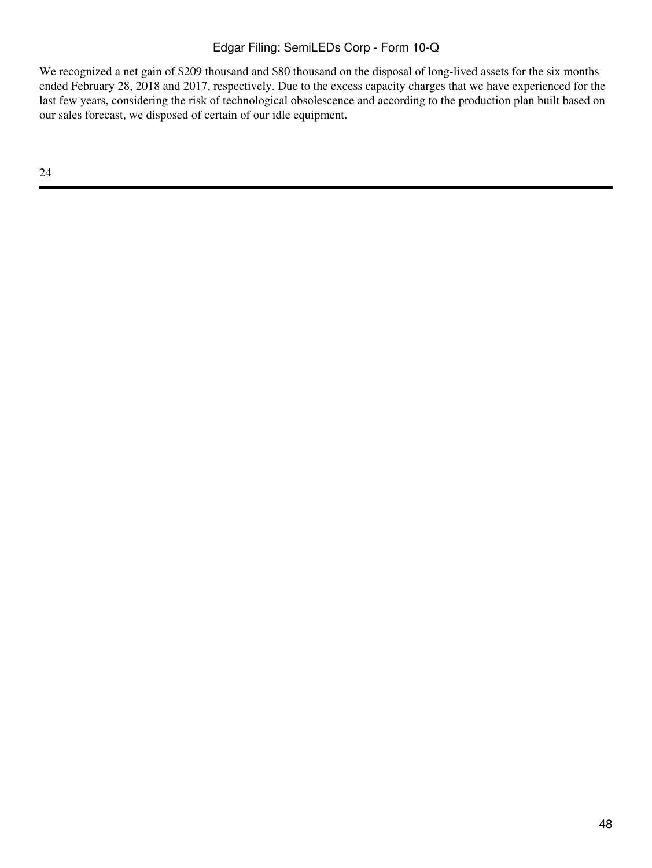We recognized a net gain of \$209 thousand and \$80 thousand on the disposal of long-lived assets for the six months ended February 28, 2018 and 2017, respectively. Due to the excess capacity charges that we have experienced for the last few years, considering the risk of technological obsolescence and according to the production plan built based on our sales forecast, we disposed of certain of our idle equipment.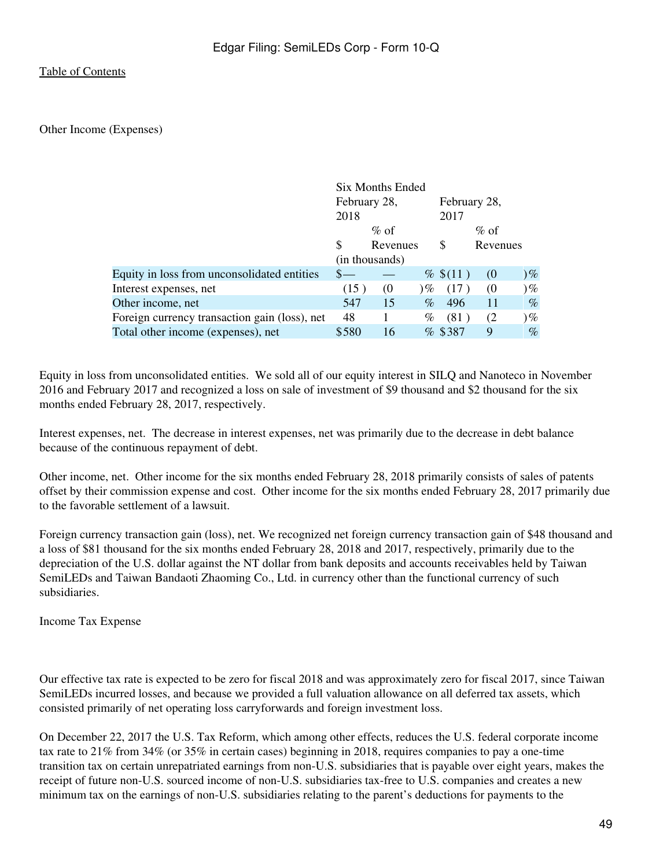#### Other Income (Expenses)

|                                               |              | Six Months Ended |            |              |          |                         |
|-----------------------------------------------|--------------|------------------|------------|--------------|----------|-------------------------|
|                                               | February 28, |                  |            | February 28, |          |                         |
|                                               | 2018         |                  |            | 2017         |          |                         |
|                                               |              | $\%$ of          |            |              | $\%$ of  |                         |
|                                               | S            | Revenues         |            | \$           | Revenues |                         |
|                                               |              | (in thousands)   |            |              |          |                         |
| Equity in loss from unconsolidated entities   |              |                  |            | % \$(11)     | $\omega$ | $)\%$                   |
| Interest expenses, net                        | (15)         | (0)              | $\partial$ | (17)         | (0)      | $)\%$                   |
| Other income, net                             | 547          | 15               | $\%$       | 496          | 11       | $\%$                    |
| Foreign currency transaction gain (loss), net | 48           |                  | %          | (81)         | (2)      | $\mathcal{V}_{\varphi}$ |
| Total other income (expenses), net            | \$580        | 16               |            | $%$ \$387    | 9        | $\%$                    |

Equity in loss from unconsolidated entities. We sold all of our equity interest in SILQ and Nanoteco in November 2016 and February 2017 and recognized a loss on sale of investment of \$9 thousand and \$2 thousand for the six months ended February 28, 2017, respectively.

Interest expenses, net. The decrease in interest expenses, net was primarily due to the decrease in debt balance because of the continuous repayment of debt.

Other income, net. Other income for the six months ended February 28, 2018 primarily consists of sales of patents offset by their commission expense and cost. Other income for the six months ended February 28, 2017 primarily due to the favorable settlement of a lawsuit.

Foreign currency transaction gain (loss), net. We recognized net foreign currency transaction gain of \$48 thousand and a loss of \$81 thousand for the six months ended February 28, 2018 and 2017, respectively, primarily due to the depreciation of the U.S. dollar against the NT dollar from bank deposits and accounts receivables held by Taiwan SemiLEDs and Taiwan Bandaoti Zhaoming Co., Ltd. in currency other than the functional currency of such subsidiaries.

Income Tax Expense

Our effective tax rate is expected to be zero for fiscal 2018 and was approximately zero for fiscal 2017, since Taiwan SemiLEDs incurred losses, and because we provided a full valuation allowance on all deferred tax assets, which consisted primarily of net operating loss carryforwards and foreign investment loss.

On December 22, 2017 the U.S. Tax Reform, which among other effects, reduces the U.S. federal corporate income tax rate to 21% from 34% (or 35% in certain cases) beginning in 2018, requires companies to pay a one-time transition tax on certain unrepatriated earnings from non-U.S. subsidiaries that is payable over eight years, makes the receipt of future non-U.S. sourced income of non-U.S. subsidiaries tax-free to U.S. companies and creates a new minimum tax on the earnings of non-U.S. subsidiaries relating to the parent's deductions for payments to the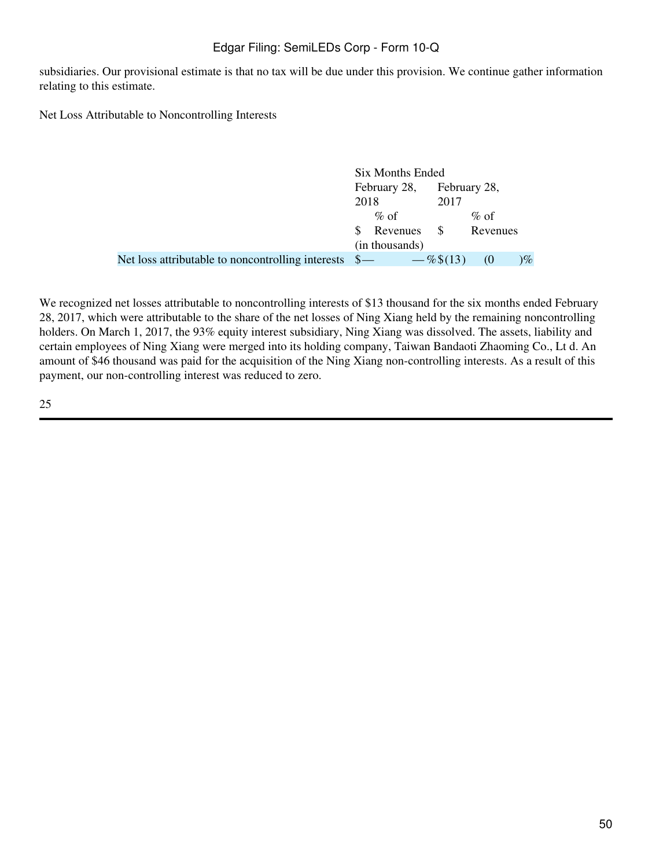subsidiaries. Our provisional estimate is that no tax will be due under this provision. We continue gather information relating to this estimate.

Net Loss Attributable to Noncontrolling Interests

|                                                                 | Six Months Ended |                |              |              |        |
|-----------------------------------------------------------------|------------------|----------------|--------------|--------------|--------|
|                                                                 |                  | February 28,   |              | February 28, |        |
|                                                                 | 2018             |                | 2017         |              |        |
|                                                                 |                  | $\%$ of        |              | $\%$ of      |        |
|                                                                 |                  | Revenues \$    |              | Revenues     |        |
|                                                                 |                  | (in thousands) |              |              |        |
| Net loss attributable to noncontrolling interests $\frac{1}{2}$ |                  |                | $-\%$ \$(13) | $\omega$     | ) $\%$ |

We recognized net losses attributable to noncontrolling interests of \$13 thousand for the six months ended February 28, 2017, which were attributable to the share of the net losses of Ning Xiang held by the remaining noncontrolling holders. On March 1, 2017, the 93% equity interest subsidiary, Ning Xiang was dissolved. The assets, liability and certain employees of Ning Xiang were merged into its holding company, Taiwan Bandaoti Zhaoming Co., Lt d. An amount of \$46 thousand was paid for the acquisition of the Ning Xiang non-controlling interests. As a result of this payment, our non-controlling interest was reduced to zero.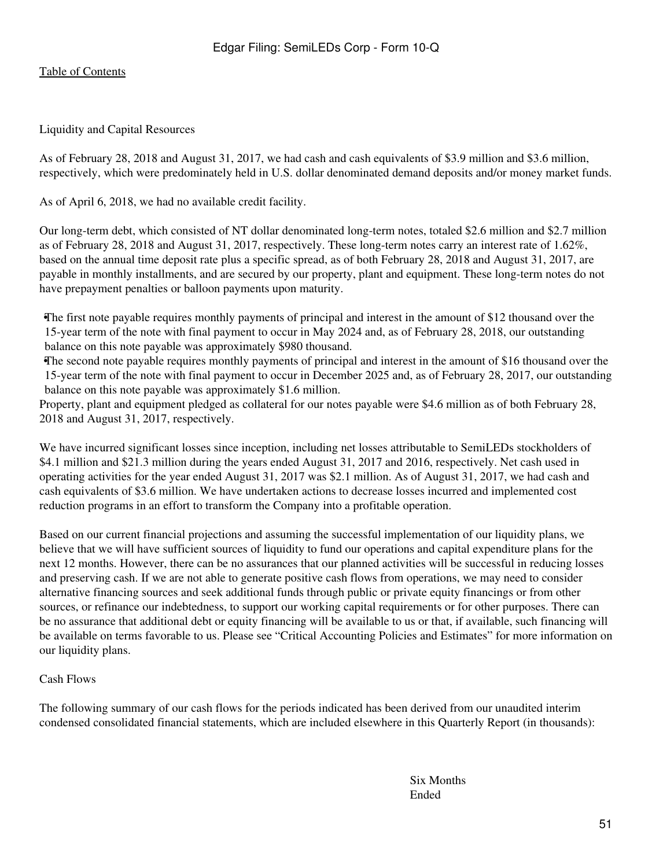### Liquidity and Capital Resources

As of February 28, 2018 and August 31, 2017, we had cash and cash equivalents of \$3.9 million and \$3.6 million, respectively, which were predominately held in U.S. dollar denominated demand deposits and/or money market funds.

As of April 6, 2018, we had no available credit facility.

Our long-term debt, which consisted of NT dollar denominated long-term notes, totaled \$2.6 million and \$2.7 million as of February 28, 2018 and August 31, 2017, respectively. These long-term notes carry an interest rate of 1.62%, based on the annual time deposit rate plus a specific spread, as of both February 28, 2018 and August 31, 2017, are payable in monthly installments, and are secured by our property, plant and equipment. These long-term notes do not have prepayment penalties or balloon payments upon maturity.

•The first note payable requires monthly payments of principal and interest in the amount of \$12 thousand over the 15-year term of the note with final payment to occur in May 2024 and, as of February 28, 2018, our outstanding balance on this note payable was approximately \$980 thousand.

•The second note payable requires monthly payments of principal and interest in the amount of \$16 thousand over the 15-year term of the note with final payment to occur in December 2025 and, as of February 28, 2017, our outstanding balance on this note payable was approximately \$1.6 million.

Property, plant and equipment pledged as collateral for our notes payable were \$4.6 million as of both February 28, 2018 and August 31, 2017, respectively.

We have incurred significant losses since inception, including net losses attributable to SemiLEDs stockholders of \$4.1 million and \$21.3 million during the years ended August 31, 2017 and 2016, respectively. Net cash used in operating activities for the year ended August 31, 2017 was \$2.1 million. As of August 31, 2017, we had cash and cash equivalents of \$3.6 million. We have undertaken actions to decrease losses incurred and implemented cost reduction programs in an effort to transform the Company into a profitable operation.

Based on our current financial projections and assuming the successful implementation of our liquidity plans, we believe that we will have sufficient sources of liquidity to fund our operations and capital expenditure plans for the next 12 months. However, there can be no assurances that our planned activities will be successful in reducing losses and preserving cash. If we are not able to generate positive cash flows from operations, we may need to consider alternative financing sources and seek additional funds through public or private equity financings or from other sources, or refinance our indebtedness, to support our working capital requirements or for other purposes. There can be no assurance that additional debt or equity financing will be available to us or that, if available, such financing will be available on terms favorable to us. Please see "Critical Accounting Policies and Estimates" for more information on our liquidity plans.

#### Cash Flows

The following summary of our cash flows for the periods indicated has been derived from our unaudited interim condensed consolidated financial statements, which are included elsewhere in this Quarterly Report (in thousands):

> Six Months Ended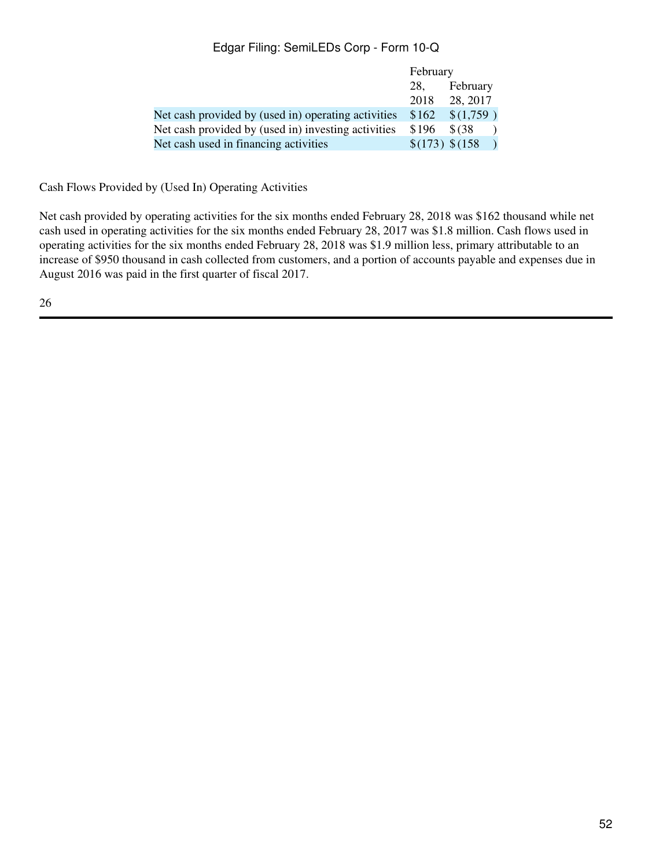|                                                     | February                |           |  |
|-----------------------------------------------------|-------------------------|-----------|--|
|                                                     | 28.                     | February  |  |
|                                                     | 2018                    | 28, 2017  |  |
| Net cash provided by (used in) operating activities | \$162                   | \$(1,759) |  |
| Net cash provided by (used in) investing activities | \$196                   | \$ (38)   |  |
| Net cash used in financing activities               | $\frac{$(173) $(158) }$ |           |  |

Cash Flows Provided by (Used In) Operating Activities

Net cash provided by operating activities for the six months ended February 28, 2018 was \$162 thousand while net cash used in operating activities for the six months ended February 28, 2017 was \$1.8 million. Cash flows used in operating activities for the six months ended February 28, 2018 was \$1.9 million less, primary attributable to an increase of \$950 thousand in cash collected from customers, and a portion of accounts payable and expenses due in August 2016 was paid in the first quarter of fiscal 2017.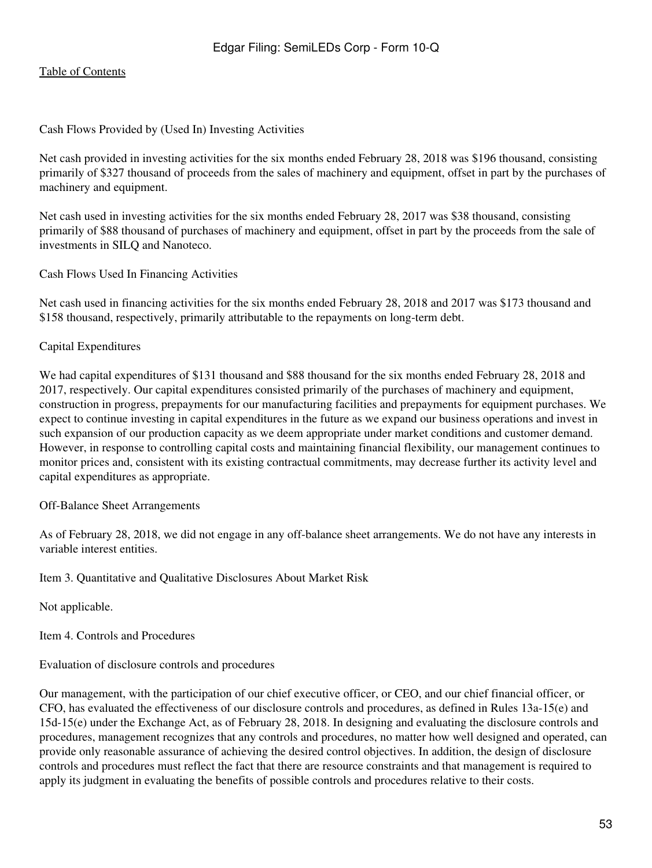#### Cash Flows Provided by (Used In) Investing Activities

Net cash provided in investing activities for the six months ended February 28, 2018 was \$196 thousand, consisting primarily of \$327 thousand of proceeds from the sales of machinery and equipment, offset in part by the purchases of machinery and equipment.

Net cash used in investing activities for the six months ended February 28, 2017 was \$38 thousand, consisting primarily of \$88 thousand of purchases of machinery and equipment, offset in part by the proceeds from the sale of investments in SILQ and Nanoteco.

Cash Flows Used In Financing Activities

Net cash used in financing activities for the six months ended February 28, 2018 and 2017 was \$173 thousand and \$158 thousand, respectively, primarily attributable to the repayments on long-term debt.

### Capital Expenditures

We had capital expenditures of \$131 thousand and \$88 thousand for the six months ended February 28, 2018 and 2017, respectively. Our capital expenditures consisted primarily of the purchases of machinery and equipment, construction in progress, prepayments for our manufacturing facilities and prepayments for equipment purchases. We expect to continue investing in capital expenditures in the future as we expand our business operations and invest in such expansion of our production capacity as we deem appropriate under market conditions and customer demand. However, in response to controlling capital costs and maintaining financial flexibility, our management continues to monitor prices and, consistent with its existing contractual commitments, may decrease further its activity level and capital expenditures as appropriate.

#### Off-Balance Sheet Arrangements

As of February 28, 2018, we did not engage in any off-balance sheet arrangements. We do not have any interests in variable interest entities.

<span id="page-52-0"></span>Item 3. Quantitative and Qualitative Disclosures About Market Risk

Not applicable.

<span id="page-52-1"></span>Item 4. Controls and Procedures

Evaluation of disclosure controls and procedures

Our management, with the participation of our chief executive officer, or CEO, and our chief financial officer, or CFO, has evaluated the effectiveness of our disclosure controls and procedures, as defined in Rules 13a-15(e) and 15d-15(e) under the Exchange Act, as of February 28, 2018. In designing and evaluating the disclosure controls and procedures, management recognizes that any controls and procedures, no matter how well designed and operated, can provide only reasonable assurance of achieving the desired control objectives. In addition, the design of disclosure controls and procedures must reflect the fact that there are resource constraints and that management is required to apply its judgment in evaluating the benefits of possible controls and procedures relative to their costs.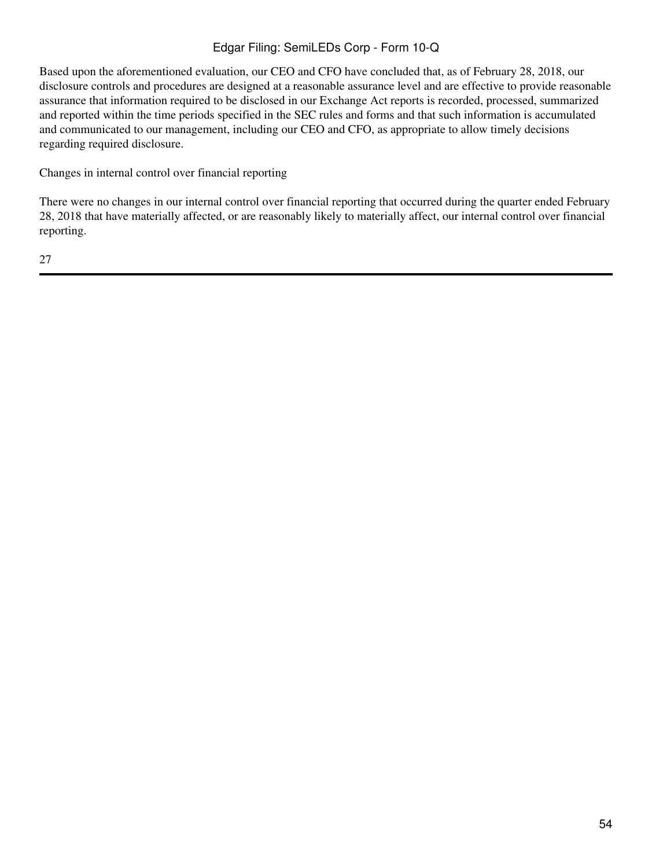Based upon the aforementioned evaluation, our CEO and CFO have concluded that, as of February 28, 2018, our disclosure controls and procedures are designed at a reasonable assurance level and are effective to provide reasonable assurance that information required to be disclosed in our Exchange Act reports is recorded, processed, summarized and reported within the time periods specified in the SEC rules and forms and that such information is accumulated and communicated to our management, including our CEO and CFO, as appropriate to allow timely decisions regarding required disclosure.

Changes in internal control over financial reporting

There were no changes in our internal control over financial reporting that occurred during the quarter ended February 28, 2018 that have materially affected, or are reasonably likely to materially affect, our internal control over financial reporting.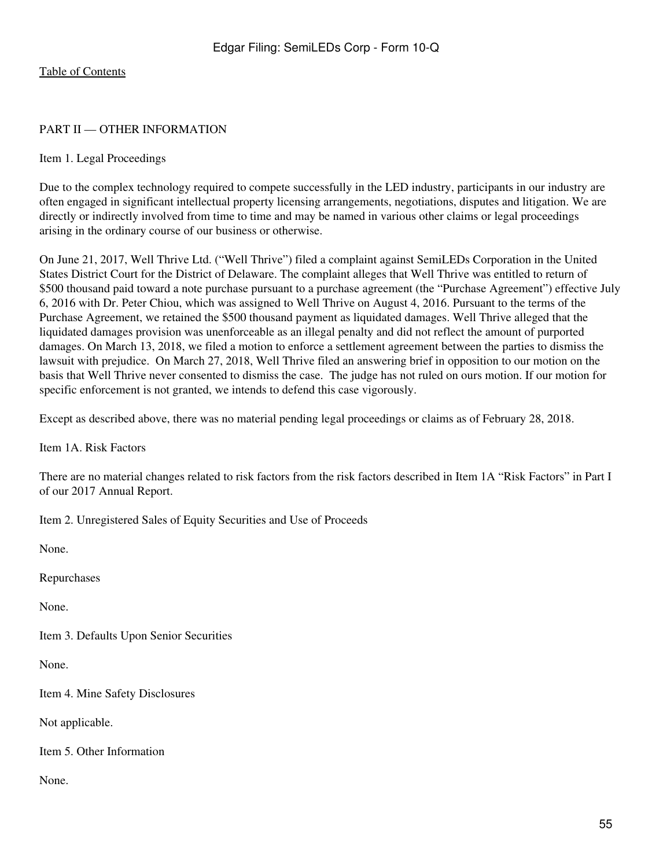### <span id="page-54-0"></span>PART II — OTHER INFORMATION

#### <span id="page-54-1"></span>Item 1. Legal Proceedings

Due to the complex technology required to compete successfully in the LED industry, participants in our industry are often engaged in significant intellectual property licensing arrangements, negotiations, disputes and litigation. We are directly or indirectly involved from time to time and may be named in various other claims or legal proceedings arising in the ordinary course of our business or otherwise.

On June 21, 2017, Well Thrive Ltd. ("Well Thrive") filed a complaint against SemiLEDs Corporation in the United States District Court for the District of Delaware. The complaint alleges that Well Thrive was entitled to return of \$500 thousand paid toward a note purchase pursuant to a purchase agreement (the "Purchase Agreement") effective July 6, 2016 with Dr. Peter Chiou, which was assigned to Well Thrive on August 4, 2016. Pursuant to the terms of the Purchase Agreement, we retained the \$500 thousand payment as liquidated damages. Well Thrive alleged that the liquidated damages provision was unenforceable as an illegal penalty and did not reflect the amount of purported damages. On March 13, 2018, we filed a motion to enforce a settlement agreement between the parties to dismiss the lawsuit with prejudice. On March 27, 2018, Well Thrive filed an answering brief in opposition to our motion on the basis that Well Thrive never consented to dismiss the case. The judge has not ruled on ours motion. If our motion for specific enforcement is not granted, we intends to defend this case vigorously.

Except as described above, there was no material pending legal proceedings or claims as of February 28, 2018.

<span id="page-54-2"></span>Item 1A. Risk Factors

There are no material changes related to risk factors from the risk factors described in Item 1A "Risk Factors" in Part I of our 2017 Annual Report.

<span id="page-54-3"></span>Item 2. Unregistered Sales of Equity Securities and Use of Proceeds

<span id="page-54-6"></span><span id="page-54-5"></span><span id="page-54-4"></span>None. Repurchases None. Item 3. Defaults Upon Senior Securities None. Item 4. Mine Safety Disclosures Not applicable. Item 5. Other Information None.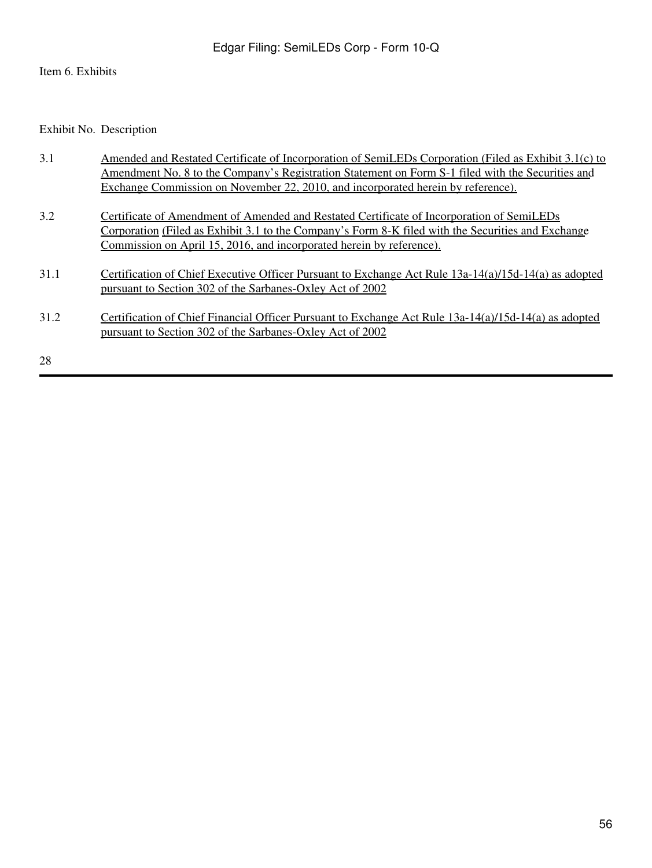# <span id="page-55-0"></span>Item 6. Exhibits

Exhibit No. Description

| 3.1  | Amended and Restated Certificate of Incorporation of SemiLEDs Corporation (Filed as Exhibit 3.1(c) to   |
|------|---------------------------------------------------------------------------------------------------------|
|      | Amendment No. 8 to the Company's Registration Statement on Form S-1 filed with the Securities and       |
|      | Exchange Commission on November 22, 2010, and incorporated herein by reference).                        |
| 3.2  | Certificate of Amendment of Amended and Restated Certificate of Incorporation of SemiLEDs               |
|      | Corporation (Filed as Exhibit 3.1 to the Company's Form 8-K filed with the Securities and Exchange      |
|      | Commission on April 15, 2016, and incorporated herein by reference).                                    |
| 31.1 | Certification of Chief Executive Officer Pursuant to Exchange Act Rule $13a-14(a)/15d-14(a)$ as adopted |
|      | pursuant to Section 302 of the Sarbanes-Oxley Act of 2002                                               |
| 31.2 | Certification of Chief Financial Officer Pursuant to Exchange Act Rule 13a-14(a)/15d-14(a) as adopted   |
|      | pursuant to Section 302 of the Sarbanes-Oxley Act of 2002                                               |
| 28   |                                                                                                         |
|      |                                                                                                         |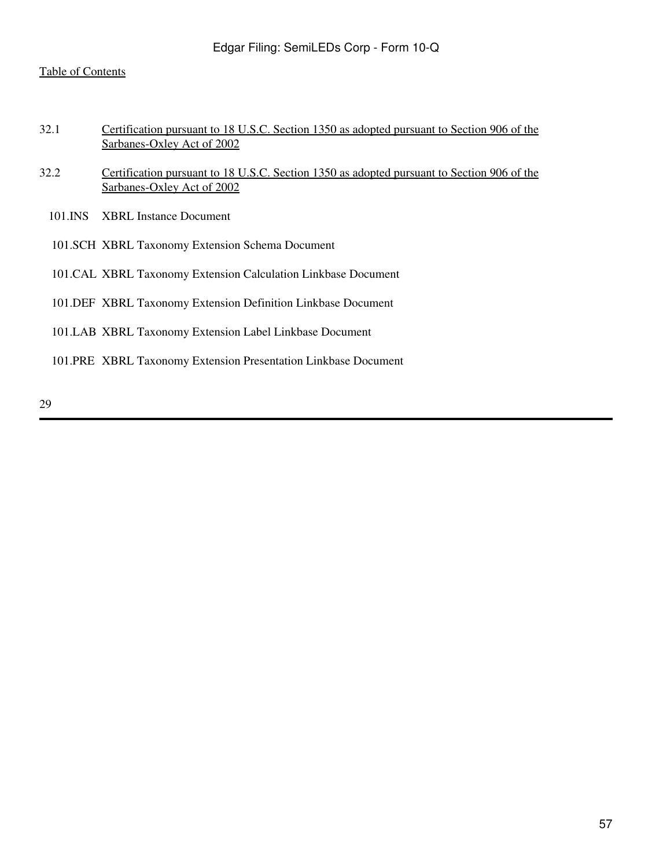- 32.1 Certification pursuant to 18 U.S.C. Section 1350 as adopted pursuant to Section 906 of the Sarbanes-Oxley Act of 2002
- 32.2 Certification pursuant to 18 U.S.C. Section 1350 as adopted pursuant to Section 906 of the Sarbanes-Oxley Act of 2002
	- 101.INS XBRL Instance Document
	- 101.SCH XBRL Taxonomy Extension Schema Document
	- 101.CAL XBRL Taxonomy Extension Calculation Linkbase Document
	- 101.DEF XBRL Taxonomy Extension Definition Linkbase Document
	- 101.LAB XBRL Taxonomy Extension Label Linkbase Document

101.PRE XBRL Taxonomy Extension Presentation Linkbase Document